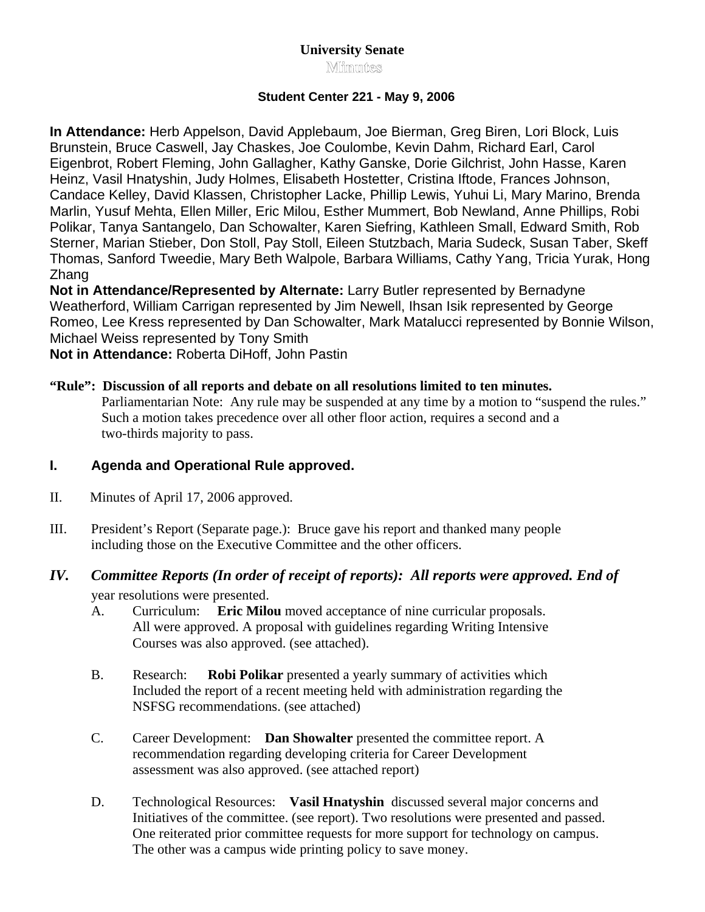# **University Senate Minmutes**

# **Student Center 221 - May 9, 2006**

**In Attendance:** Herb Appelson, David Applebaum, Joe Bierman, Greg Biren, Lori Block, Luis Brunstein, Bruce Caswell, Jay Chaskes, Joe Coulombe, Kevin Dahm, Richard Earl, Carol Eigenbrot, Robert Fleming, John Gallagher, Kathy Ganske, Dorie Gilchrist, John Hasse, Karen Heinz, Vasil Hnatyshin, Judy Holmes, Elisabeth Hostetter, Cristina Iftode, Frances Johnson, Candace Kelley, David Klassen, Christopher Lacke, Phillip Lewis, Yuhui Li, Mary Marino, Brenda Marlin, Yusuf Mehta, Ellen Miller, Eric Milou, Esther Mummert, Bob Newland, Anne Phillips, Robi Polikar, Tanya Santangelo, Dan Schowalter, Karen Siefring, Kathleen Small, Edward Smith, Rob Sterner, Marian Stieber, Don Stoll, Pay Stoll, Eileen Stutzbach, Maria Sudeck, Susan Taber, Skeff Thomas, Sanford Tweedie, Mary Beth Walpole, Barbara Williams, Cathy Yang, Tricia Yurak, Hong Zhang

**Not in Attendance/Represented by Alternate:** Larry Butler represented by Bernadyne Weatherford, William Carrigan represented by Jim Newell, Ihsan Isik represented by George Romeo, Lee Kress represented by Dan Schowalter, Mark Matalucci represented by Bonnie Wilson, Michael Weiss represented by Tony Smith

**Not in Attendance:** Roberta DiHoff, John Pastin

# **"Rule": Discussion of all reports and debate on all resolutions limited to ten minutes.**

Parliamentarian Note: Any rule may be suspended at any time by a motion to "suspend the rules." Such a motion takes precedence over all other floor action, requires a second and a two-thirds majority to pass.

# **I. Agenda and Operational Rule approved.**

- II. Minutes of April 17, 2006 approved.
- III. President's Report (Separate page.): Bruce gave his report and thanked many people including those on the Executive Committee and the other officers.

# *IV. Committee Reports (In order of receipt of reports): All reports were approved. End of*

year resolutions were presented.

- A. Curriculum: **Eric Milou** moved acceptance of nine curricular proposals. All were approved. A proposal with guidelines regarding Writing Intensive Courses was also approved. (see attached).
- B. Research: **Robi Polikar** presented a yearly summary of activities which Included the report of a recent meeting held with administration regarding the NSFSG recommendations. (see attached)
- C. Career Development: **Dan Showalter** presented the committee report. A recommendation regarding developing criteria for Career Development assessment was also approved. (see attached report)
- D. Technological Resources: **Vasil Hnatyshin** discussed several major concerns and Initiatives of the committee. (see report). Two resolutions were presented and passed. One reiterated prior committee requests for more support for technology on campus. The other was a campus wide printing policy to save money.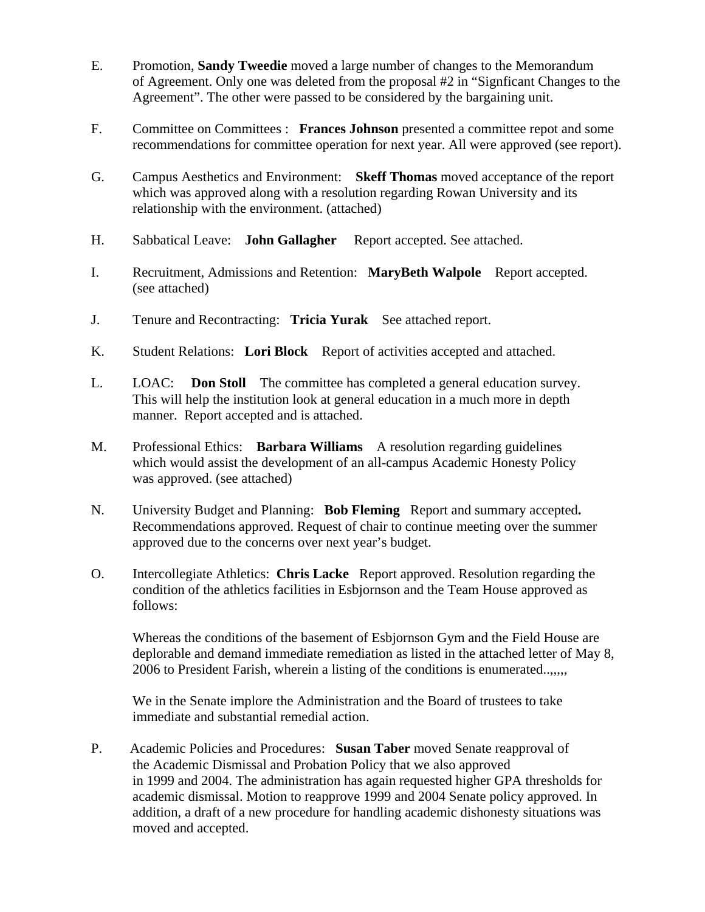- E. Promotion, **Sandy Tweedie** moved a large number of changes to the Memorandum of Agreement. Only one was deleted from the proposal #2 in "Signficant Changes to the Agreement". The other were passed to be considered by the bargaining unit.
- F. Committee on Committees : **Frances Johnson** presented a committee repot and some recommendations for committee operation for next year. All were approved (see report).
- G. Campus Aesthetics and Environment: **Skeff Thomas** moved acceptance of the report which was approved along with a resolution regarding Rowan University and its relationship with the environment. (attached)
- H. Sabbatical Leave: **John Gallagher** Report accepted. See attached.
- I. Recruitment, Admissions and Retention: **MaryBeth Walpole** Report accepted. (see attached)
- J. Tenure and Recontracting: **Tricia Yurak** See attached report.
- K. Student Relations: **Lori Block** Report of activities accepted and attached.
- L. LOAC: **Don Stoll** The committee has completed a general education survey. This will help the institution look at general education in a much more in depth manner. Report accepted and is attached.
- M. Professional Ethics: **Barbara Williams** A resolution regarding guidelines which would assist the development of an all-campus Academic Honesty Policy was approved. (see attached)
- N. University Budget and Planning: **Bob Fleming** Report and summary accepted**.**  Recommendations approved. Request of chair to continue meeting over the summer approved due to the concerns over next year's budget.
- O. Intercollegiate Athletics: **Chris Lacke** Report approved. Resolution regarding the condition of the athletics facilities in Esbjornson and the Team House approved as follows:

 Whereas the conditions of the basement of Esbjornson Gym and the Field House are deplorable and demand immediate remediation as listed in the attached letter of May 8, 2006 to President Farish, wherein a listing of the conditions is enumerated..,,,,,

 We in the Senate implore the Administration and the Board of trustees to take immediate and substantial remedial action.

P. Academic Policies and Procedures: **Susan Taber** moved Senate reapproval of the Academic Dismissal and Probation Policy that we also approved in 1999 and 2004. The administration has again requested higher GPA thresholds for academic dismissal. Motion to reapprove 1999 and 2004 Senate policy approved. In addition, a draft of a new procedure for handling academic dishonesty situations was moved and accepted.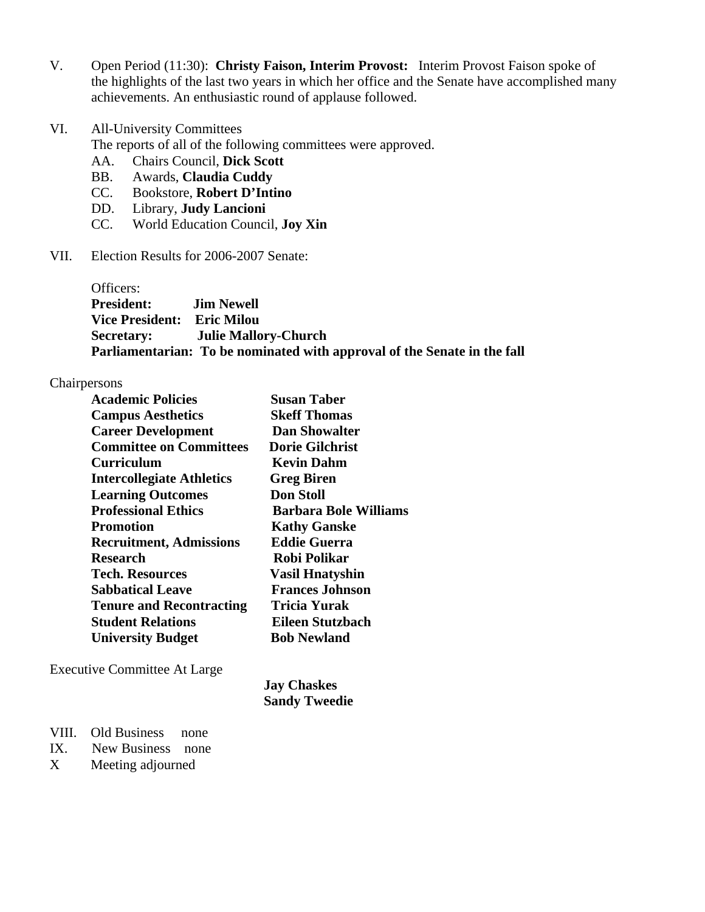- V. Open Period (11:30): **Christy Faison, Interim Provost:** Interim Provost Faison spoke of the highlights of the last two years in which her office and the Senate have accomplished many achievements. An enthusiastic round of applause followed.
- VI. All-University Committees

The reports of all of the following committees were approved.

- AA. Chairs Council, **Dick Scott**
- BB. Awards, **Claudia Cuddy**
- CC. Bookstore, **Robert D'Intino**
- DD. Library, **Judy Lancioni**
- CC. World Education Council, **Joy Xin**
- VII. Election Results for 2006-2007 Senate:

Officers: **President: Jim Newell Vice President: Eric Milou Secretary: Julie Mallory-Church Parliamentarian: To be nominated with approval of the Senate in the fall** 

# Chairpersons

| <b>Academic Policies</b>         | <b>Susan Taber</b>           |
|----------------------------------|------------------------------|
| <b>Campus Aesthetics</b>         | <b>Skeff Thomas</b>          |
| <b>Career Development</b>        | <b>Dan Showalter</b>         |
| <b>Committee on Committees</b>   | <b>Dorie Gilchrist</b>       |
| <b>Curriculum</b>                | <b>Kevin Dahm</b>            |
| <b>Intercollegiate Athletics</b> | <b>Greg Biren</b>            |
| <b>Learning Outcomes</b>         | <b>Don Stoll</b>             |
| <b>Professional Ethics</b>       | <b>Barbara Bole Williams</b> |
| <b>Promotion</b>                 | <b>Kathy Ganske</b>          |
| <b>Recruitment, Admissions</b>   | <b>Eddie Guerra</b>          |
| <b>Research</b>                  | <b>Robi Polikar</b>          |
| Tech. Resources                  | <b>Vasil Hnatyshin</b>       |
| <b>Sabbatical Leave</b>          | <b>Frances Johnson</b>       |
| <b>Tenure and Recontracting</b>  | <b>Tricia Yurak</b>          |
| <b>Student Relations</b>         | Eileen Stutzbach             |
| <b>University Budget</b>         | <b>Bob Newland</b>           |
|                                  |                              |

Executive Committee At Large

 **Jay Chaskes Sandy Tweedie** 

- VIII. Old Business none
- IX. New Business none
- X Meeting adjourned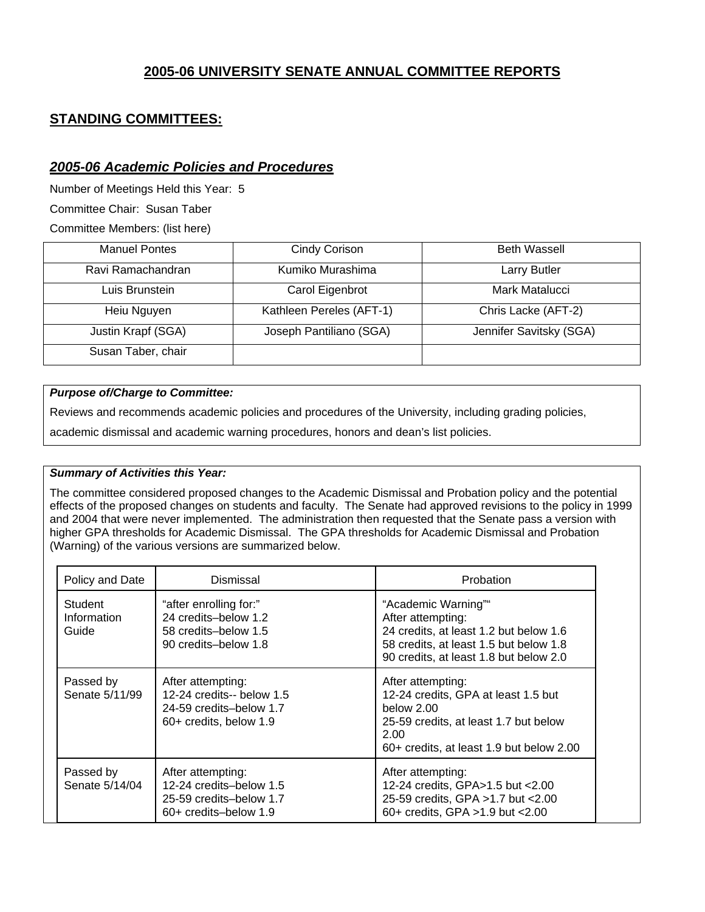# **2005-06 UNIVERSITY SENATE ANNUAL COMMITTEE REPORTS**

# **STANDING COMMITTEES:**

# *2005-06 Academic Policies and Procedures*

Number of Meetings Held this Year: 5

Committee Chair: Susan Taber

Committee Members: (list here)

| <b>Manuel Pontes</b> | Cindy Corison            | <b>Beth Wassell</b>     |
|----------------------|--------------------------|-------------------------|
| Ravi Ramachandran    | Kumiko Murashima         | <b>Larry Butler</b>     |
| Luis Brunstein       | Carol Eigenbrot          | Mark Matalucci          |
| Heiu Nguyen          | Kathleen Pereles (AFT-1) | Chris Lacke (AFT-2)     |
| Justin Krapf (SGA)   | Joseph Pantiliano (SGA)  | Jennifer Savitsky (SGA) |
| Susan Taber, chair   |                          |                         |

## *Purpose of/Charge to Committee:*

Reviews and recommends academic policies and procedures of the University, including grading policies,

academic dismissal and academic warning procedures, honors and dean's list policies.

## *Summary of Activities this Year:*

The committee considered proposed changes to the Academic Dismissal and Probation policy and the potential effects of the proposed changes on students and faculty. The Senate had approved revisions to the policy in 1999 and 2004 that were never implemented. The administration then requested that the Senate pass a version with higher GPA thresholds for Academic Dismissal. The GPA thresholds for Academic Dismissal and Probation (Warning) of the various versions are summarized below.

| Policy and Date                 | Dismissal                                                                                           | Probation                                                                                                                                                              |
|---------------------------------|-----------------------------------------------------------------------------------------------------|------------------------------------------------------------------------------------------------------------------------------------------------------------------------|
| Student<br>Information<br>Guide | "after enrolling for:"<br>24 credits-below 1.2<br>58 credits-below 1.5<br>90 credits-below 1.8      | "Academic Warning""<br>After attempting:<br>24 credits, at least 1.2 but below 1.6<br>58 credits, at least 1.5 but below 1.8<br>90 credits, at least 1.8 but below 2.0 |
| Passed by<br>Senate 5/11/99     | After attempting:<br>12-24 credits-- below 1.5<br>24-59 credits-below 1.7<br>60+ credits, below 1.9 | After attempting:<br>12-24 credits, GPA at least 1.5 but<br>below 2.00<br>25-59 credits, at least 1.7 but below<br>2.00<br>60+ credits, at least 1.9 but below 2.00    |
| Passed by<br>Senate 5/14/04     | After attempting:<br>12-24 credits-below 1.5<br>25-59 credits-below 1.7<br>60+ credits-below 1.9    | After attempting:<br>12-24 credits, GPA>1.5 but <2.00<br>25-59 credits, GPA > 1.7 but < 2.00<br>60+ credits, GPA >1.9 but <2.00                                        |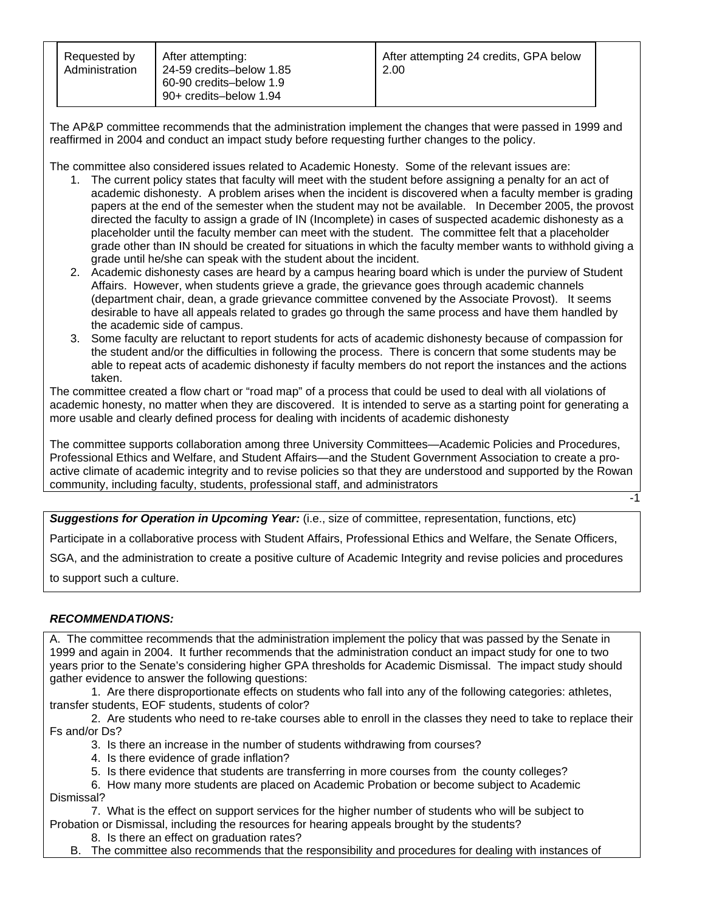| Requested by<br>Administration | After attempting:<br>24-59 credits-below 1.85<br>60-90 credits-below 1.9<br>90+ credits-below 1.94 | After attempting 24 credits, GPA below<br>2.00 |  |
|--------------------------------|----------------------------------------------------------------------------------------------------|------------------------------------------------|--|
|--------------------------------|----------------------------------------------------------------------------------------------------|------------------------------------------------|--|

The AP&P committee recommends that the administration implement the changes that were passed in 1999 and reaffirmed in 2004 and conduct an impact study before requesting further changes to the policy.

The committee also considered issues related to Academic Honesty. Some of the relevant issues are:

- 1. The current policy states that faculty will meet with the student before assigning a penalty for an act of academic dishonesty. A problem arises when the incident is discovered when a faculty member is grading papers at the end of the semester when the student may not be available. In December 2005, the provost directed the faculty to assign a grade of IN (Incomplete) in cases of suspected academic dishonesty as a placeholder until the faculty member can meet with the student. The committee felt that a placeholder grade other than IN should be created for situations in which the faculty member wants to withhold giving a grade until he/she can speak with the student about the incident.
- 2. Academic dishonesty cases are heard by a campus hearing board which is under the purview of Student Affairs. However, when students grieve a grade, the grievance goes through academic channels (department chair, dean, a grade grievance committee convened by the Associate Provost). It seems desirable to have all appeals related to grades go through the same process and have them handled by the academic side of campus.
- 3. Some faculty are reluctant to report students for acts of academic dishonesty because of compassion for the student and/or the difficulties in following the process. There is concern that some students may be able to repeat acts of academic dishonesty if faculty members do not report the instances and the actions taken.

The committee created a flow chart or "road map" of a process that could be used to deal with all violations of academic honesty, no matter when they are discovered. It is intended to serve as a starting point for generating a more usable and clearly defined process for dealing with incidents of academic dishonesty

The committee supports collaboration among three University Committees—Academic Policies and Procedures, Professional Ethics and Welfare, and Student Affairs—and the Student Government Association to create a proactive climate of academic integrity and to revise policies so that they are understood and supported by the Rowan community, including faculty, students, professional staff, and administrators

-1

*Suggestions for Operation in Upcoming Year:* (i.e., size of committee, representation, functions, etc)

Participate in a collaborative process with Student Affairs, Professional Ethics and Welfare, the Senate Officers,

SGA, and the administration to create a positive culture of Academic Integrity and revise policies and procedures

to support such a culture.

### *RECOMMENDATIONS:*

A. The committee recommends that the administration implement the policy that was passed by the Senate in 1999 and again in 2004. It further recommends that the administration conduct an impact study for one to two years prior to the Senate's considering higher GPA thresholds for Academic Dismissal. The impact study should gather evidence to answer the following questions:

 1. Are there disproportionate effects on students who fall into any of the following categories: athletes, transfer students, EOF students, students of color?

 2. Are students who need to re-take courses able to enroll in the classes they need to take to replace their Fs and/or Ds?

- 3. Is there an increase in the number of students withdrawing from courses?
- 4. Is there evidence of grade inflation?
- 5. Is there evidence that students are transferring in more courses from the county colleges?
- 6. How many more students are placed on Academic Probation or become subject to Academic Dismissal?

 7. What is the effect on support services for the higher number of students who will be subject to Probation or Dismissal, including the resources for hearing appeals brought by the students?

8. Is there an effect on graduation rates?

B. The committee also recommends that the responsibility and procedures for dealing with instances of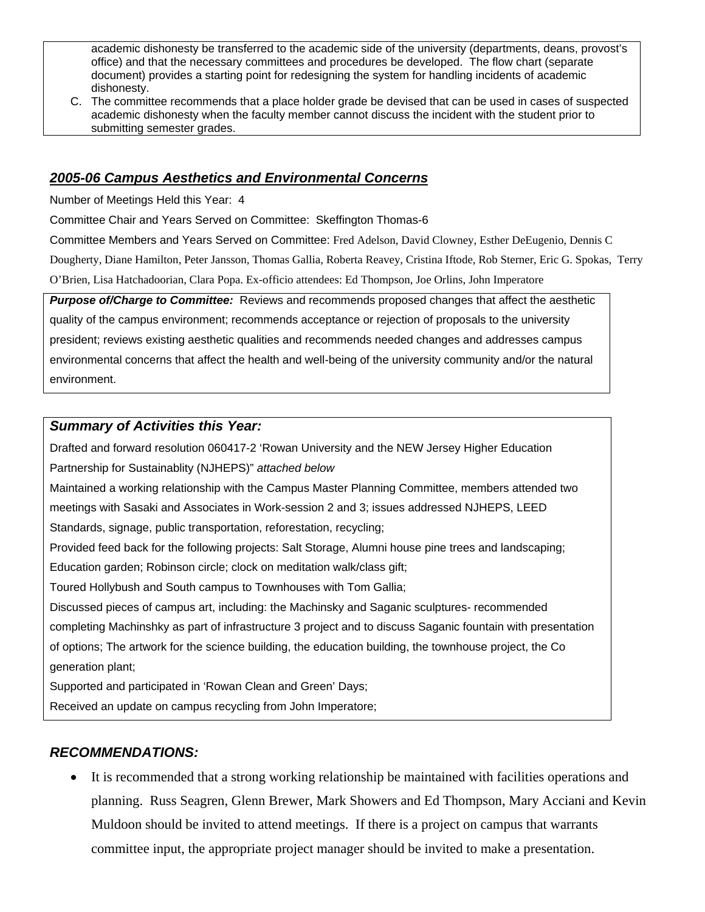academic dishonesty be transferred to the academic side of the university (departments, deans, provost's office) and that the necessary committees and procedures be developed. The flow chart (separate document) provides a starting point for redesigning the system for handling incidents of academic dishonesty.

C. The committee recommends that a place holder grade be devised that can be used in cases of suspected academic dishonesty when the faculty member cannot discuss the incident with the student prior to submitting semester grades.

# *2005-06 Campus Aesthetics and Environmental Concerns*

Number of Meetings Held this Year: 4

Committee Chair and Years Served on Committee: Skeffington Thomas-6

Committee Members and Years Served on Committee: Fred Adelson, David Clowney, Esther DeEugenio, Dennis C Dougherty, Diane Hamilton, Peter Jansson, Thomas Gallia, Roberta Reavey, Cristina Iftode, Rob Sterner, Eric G. Spokas, Terry O'Brien, Lisa Hatchadoorian, Clara Popa. Ex-officio attendees: Ed Thompson, Joe Orlins, John Imperatore

*Purpose of/Charge to Committee:* Reviews and recommends proposed changes that affect the aesthetic quality of the campus environment; recommends acceptance or rejection of proposals to the university president; reviews existing aesthetic qualities and recommends needed changes and addresses campus environmental concerns that affect the health and well-being of the university community and/or the natural environment.

# *Summary of Activities this Year:*

Drafted and forward resolution 060417-2 'Rowan University and the NEW Jersey Higher Education Partnership for Sustainablity (NJHEPS)" *attached below* 

Maintained a working relationship with the Campus Master Planning Committee, members attended two meetings with Sasaki and Associates in Work-session 2 and 3; issues addressed NJHEPS, LEED Standards, signage, public transportation, reforestation, recycling;

Provided feed back for the following projects: Salt Storage, Alumni house pine trees and landscaping;

Education garden; Robinson circle; clock on meditation walk/class gift;

Toured Hollybush and South campus to Townhouses with Tom Gallia;

Discussed pieces of campus art, including: the Machinsky and Saganic sculptures- recommended completing Machinshky as part of infrastructure 3 project and to discuss Saganic fountain with presentation of options; The artwork for the science building, the education building, the townhouse project, the Co generation plant;

Supported and participated in 'Rowan Clean and Green' Days;

Received an update on campus recycling from John Imperatore;

# *RECOMMENDATIONS:*

• It is recommended that a strong working relationship be maintained with facilities operations and planning. Russ Seagren, Glenn Brewer, Mark Showers and Ed Thompson, Mary Acciani and Kevin Muldoon should be invited to attend meetings. If there is a project on campus that warrants committee input, the appropriate project manager should be invited to make a presentation.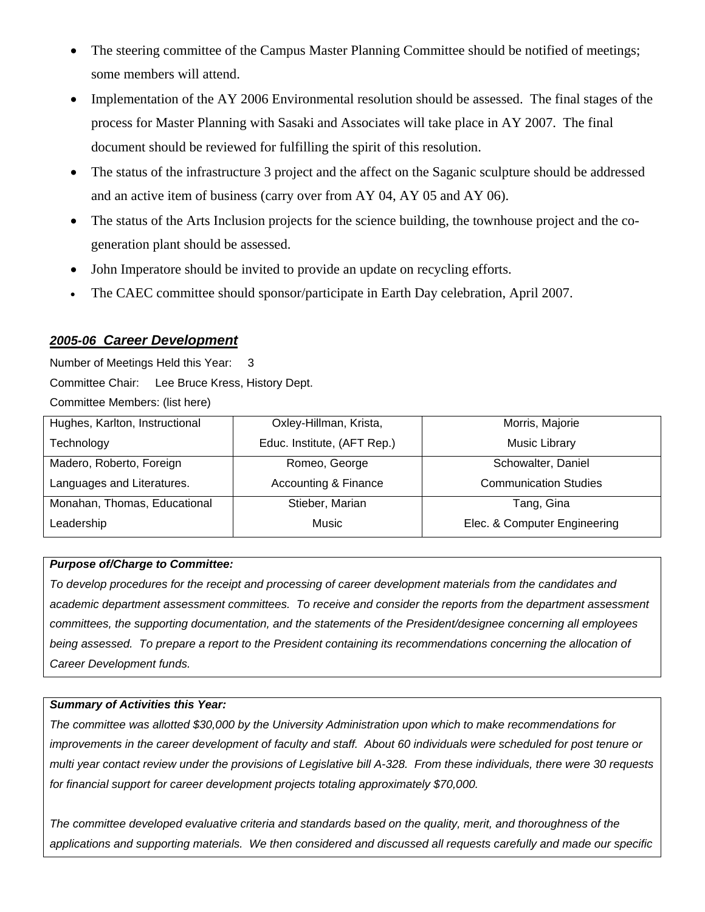- The steering committee of the Campus Master Planning Committee should be notified of meetings; some members will attend.
- Implementation of the AY 2006 Environmental resolution should be assessed. The final stages of the process for Master Planning with Sasaki and Associates will take place in AY 2007. The final document should be reviewed for fulfilling the spirit of this resolution.
- The status of the infrastructure 3 project and the affect on the Saganic sculpture should be addressed and an active item of business (carry over from AY 04, AY 05 and AY 06).
- The status of the Arts Inclusion projects for the science building, the townhouse project and the cogeneration plant should be assessed.
- John Imperatore should be invited to provide an update on recycling efforts.
- The CAEC committee should sponsor/participate in Earth Day celebration, April 2007.

# *2005-06 Career Development*

Number of Meetings Held this Year: 3 Committee Chair: Lee Bruce Kress, History Dept. Committee Members: (list here)

| Hughes, Karlton, Instructional | Oxley-Hillman, Krista,      | Morris, Majorie              |
|--------------------------------|-----------------------------|------------------------------|
| Technology                     | Educ. Institute, (AFT Rep.) | Music Library                |
| Madero, Roberto, Foreign       | Romeo, George               | Schowalter, Daniel           |
| Languages and Literatures.     | Accounting & Finance        | <b>Communication Studies</b> |
| Monahan, Thomas, Educational   | Stieber, Marian             | Tang, Gina                   |
| Leadership                     | Music                       | Elec. & Computer Engineering |

## *Purpose of/Charge to Committee:*

*To develop procedures for the receipt and processing of career development materials from the candidates and academic department assessment committees. To receive and consider the reports from the department assessment committees, the supporting documentation, and the statements of the President/designee concerning all employees*  being assessed. To prepare a report to the President containing its recommendations concerning the allocation of *Career Development funds.* 

## *Summary of Activities this Year:*

*The committee was allotted \$30,000 by the University Administration upon which to make recommendations for*  improvements in the career development of faculty and staff. About 60 individuals were scheduled for post tenure or *multi year contact review under the provisions of Legislative bill A-328. From these individuals, there were 30 requests for financial support for career development projects totaling approximately \$70,000.* 

*The committee developed evaluative criteria and standards based on the quality, merit, and thoroughness of the applications and supporting materials. We then considered and discussed all requests carefully and made our specific*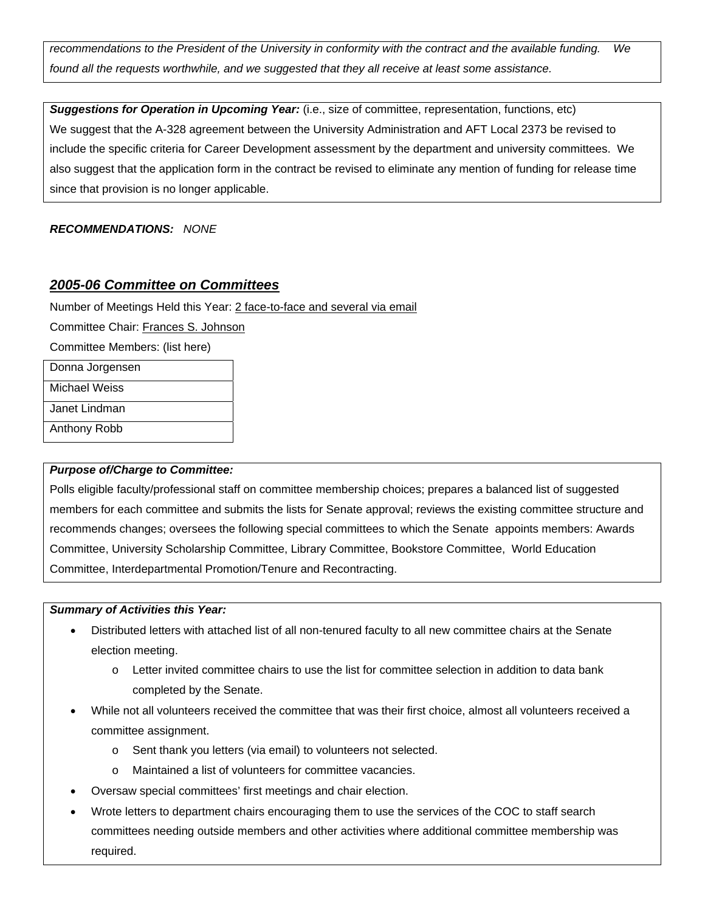*recommendations to the President of the University in conformity with the contract and the available funding. We found all the requests worthwhile, and we suggested that they all receive at least some assistance.*

*Suggestions for Operation in Upcoming Year:* (i.e., size of committee, representation, functions, etc) We suggest that the A-328 agreement between the University Administration and AFT Local 2373 be revised to include the specific criteria for Career Development assessment by the department and university committees. We also suggest that the application form in the contract be revised to eliminate any mention of funding for release time since that provision is no longer applicable.

## *RECOMMENDATIONS: NONE*

# *2005-06 Committee on Committees*

Number of Meetings Held this Year: 2 face-to-face and several via email

Committee Chair: Frances S. Johnson

Committee Members: (list here)

Donna Jorgensen

Michael Weiss

Janet Lindman

Anthony Robb

## *Purpose of/Charge to Committee:*

Polls eligible faculty/professional staff on committee membership choices; prepares a balanced list of suggested members for each committee and submits the lists for Senate approval; reviews the existing committee structure and recommends changes; oversees the following special committees to which the Senate appoints members: Awards Committee, University Scholarship Committee, Library Committee, Bookstore Committee, World Education Committee, Interdepartmental Promotion/Tenure and Recontracting.

## *Summary of Activities this Year:*

- Distributed letters with attached list of all non-tenured faculty to all new committee chairs at the Senate election meeting.
	- o Letter invited committee chairs to use the list for committee selection in addition to data bank completed by the Senate.
- While not all volunteers received the committee that was their first choice, almost all volunteers received a committee assignment.
	- o Sent thank you letters (via email) to volunteers not selected.
	- o Maintained a list of volunteers for committee vacancies.
- Oversaw special committees' first meetings and chair election.
- Wrote letters to department chairs encouraging them to use the services of the COC to staff search committees needing outside members and other activities where additional committee membership was required.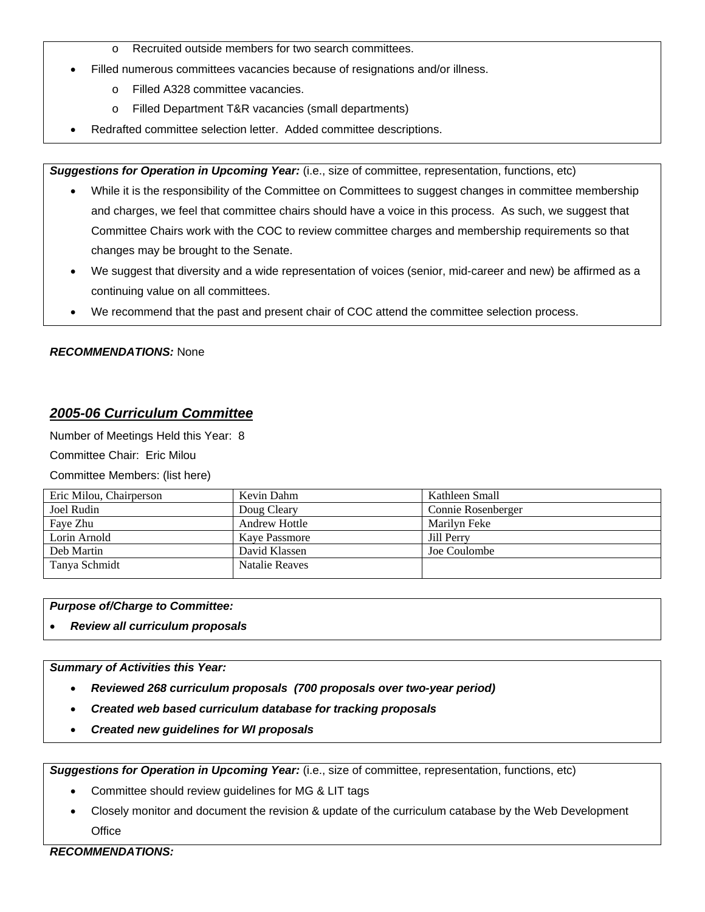- o Recruited outside members for two search committees.
- Filled numerous committees vacancies because of resignations and/or illness.
	- o Filled A328 committee vacancies.
	- o Filled Department T&R vacancies (small departments)
- Redrafted committee selection letter. Added committee descriptions.

*Suggestions for Operation in Upcoming Year:* (i.e., size of committee, representation, functions, etc)

- While it is the responsibility of the Committee on Committees to suggest changes in committee membership and charges, we feel that committee chairs should have a voice in this process. As such, we suggest that Committee Chairs work with the COC to review committee charges and membership requirements so that changes may be brought to the Senate.
- We suggest that diversity and a wide representation of voices (senior, mid-career and new) be affirmed as a continuing value on all committees.
- We recommend that the past and present chair of COC attend the committee selection process.

### *RECOMMENDATIONS:* None

## *2005-06 Curriculum Committee*

Number of Meetings Held this Year: 8

Committee Chair: Eric Milou

Committee Members: (list here)

| Eric Milou, Chairperson | Kevin Dahm            | Kathleen Small     |
|-------------------------|-----------------------|--------------------|
| Joel Rudin              | Doug Cleary           | Connie Rosenberger |
| Faye Zhu                | <b>Andrew Hottle</b>  | Marilyn Feke       |
| Lorin Arnold            | <b>Kave Passmore</b>  | Jill Perry         |
| Deb Martin              | David Klassen         | Joe Coulombe       |
| Tanya Schmidt           | <b>Natalie Reaves</b> |                    |

*Purpose of/Charge to Committee:* 

• *Review all curriculum proposals* 

### *Summary of Activities this Year:*

- *Reviewed 268 curriculum proposals (700 proposals over two-year period)*
- *Created web based curriculum database for tracking proposals*
- *Created new guidelines for WI proposals*

*Suggestions for Operation in Upcoming Year:* (i.e., size of committee, representation, functions, etc)

- Committee should review guidelines for MG & LIT tags
- Closely monitor and document the revision & update of the curriculum catabase by the Web Development **Office**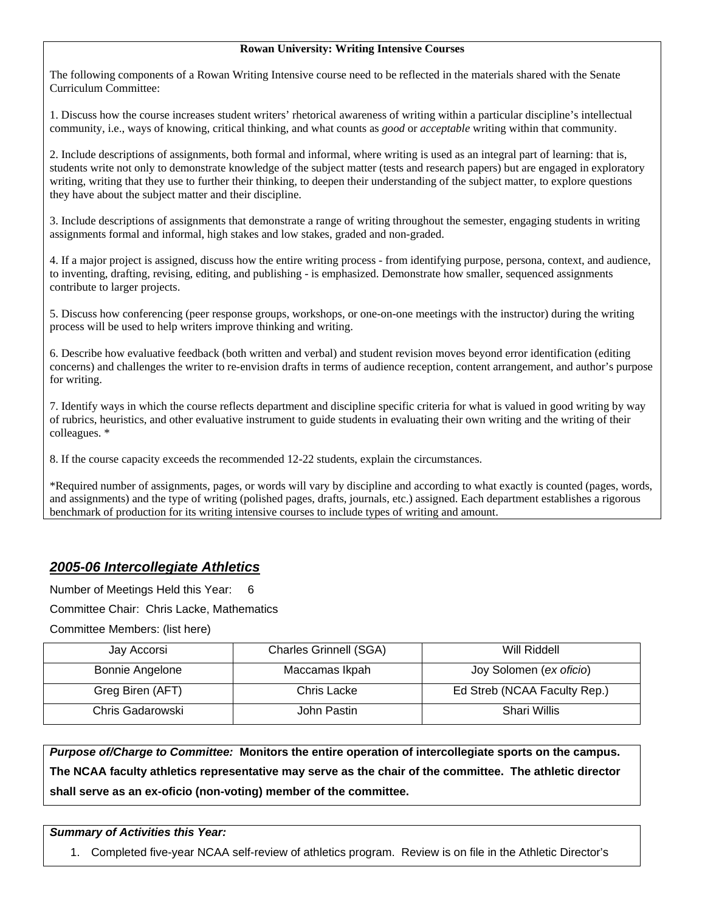### **Rowan University: Writing Intensive Courses**

The following components of a Rowan Writing Intensive course need to be reflected in the materials shared with the Senate Curriculum Committee:

1. Discuss how the course increases student writers' rhetorical awareness of writing within a particular discipline's intellectual community, i.e., ways of knowing, critical thinking, and what counts as *good* or *acceptable* writing within that community.

2. Include descriptions of assignments, both formal and informal, where writing is used as an integral part of learning: that is, students write not only to demonstrate knowledge of the subject matter (tests and research papers) but are engaged in exploratory writing, writing that they use to further their thinking, to deepen their understanding of the subject matter, to explore questions they have about the subject matter and their discipline.

3. Include descriptions of assignments that demonstrate a range of writing throughout the semester, engaging students in writing assignments formal and informal, high stakes and low stakes, graded and non-graded.

4. If a major project is assigned, discuss how the entire writing process - from identifying purpose, persona, context, and audience, to inventing, drafting, revising, editing, and publishing - is emphasized. Demonstrate how smaller, sequenced assignments contribute to larger projects.

5. Discuss how conferencing (peer response groups, workshops, or one-on-one meetings with the instructor) during the writing process will be used to help writers improve thinking and writing.

6. Describe how evaluative feedback (both written and verbal) and student revision moves beyond error identification (editing concerns) and challenges the writer to re-envision drafts in terms of audience reception, content arrangement, and author's purpose for writing.

7. Identify ways in which the course reflects department and discipline specific criteria for what is valued in good writing by way of rubrics, heuristics, and other evaluative instrument to guide students in evaluating their own writing and the writing of their colleagues. \*

8. If the course capacity exceeds the recommended 12-22 students, explain the circumstances.

\*Required number of assignments, pages, or words will vary by discipline and according to what exactly is counted (pages, words, and assignments) and the type of writing (polished pages, drafts, journals, etc.) assigned. Each department establishes a rigorous benchmark of production for its writing intensive courses to include types of writing and amount.

# *2005-06 Intercollegiate Athletics*

Number of Meetings Held this Year: 6

Committee Chair: Chris Lacke, Mathematics

Committee Members: (list here)

| Jay Accorsi            | <b>Charles Grinnell (SGA)</b> | Will Riddell                 |
|------------------------|-------------------------------|------------------------------|
| <b>Bonnie Angelone</b> | Maccamas Ikpah                | Joy Solomen (ex oficio)      |
| Greg Biren (AFT)       | Chris Lacke                   | Ed Streb (NCAA Faculty Rep.) |
| Chris Gadarowski       | John Pastin                   | Shari Willis                 |

*Purpose of/Charge to Committee:* **Monitors the entire operation of intercollegiate sports on the campus. The NCAA faculty athletics representative may serve as the chair of the committee. The athletic director shall serve as an ex-oficio (non-voting) member of the committee.**

## *Summary of Activities this Year:*

1. Completed five-year NCAA self-review of athletics program. Review is on file in the Athletic Director's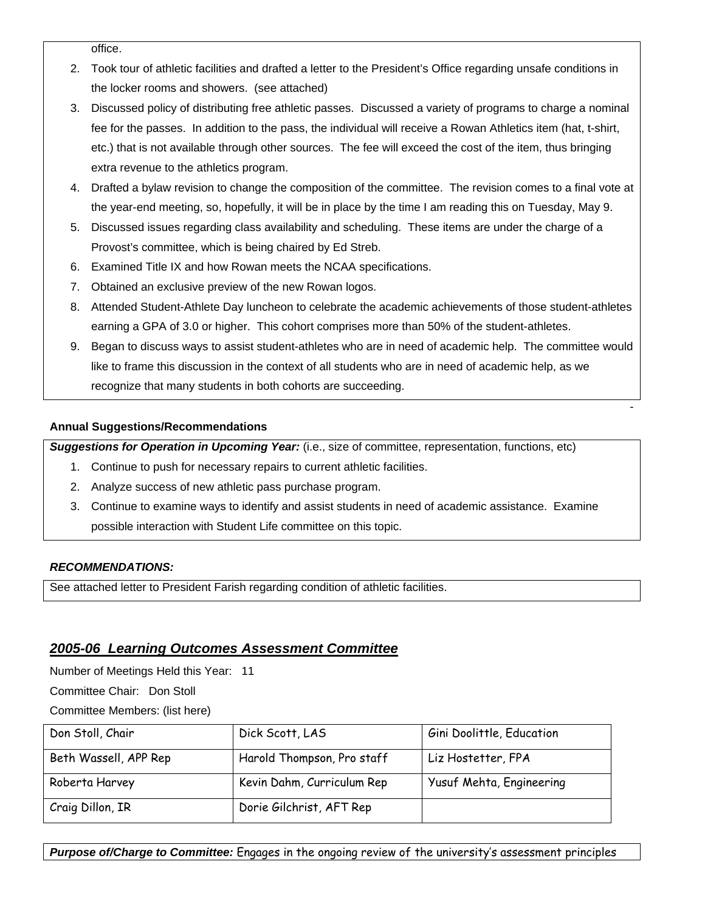office.

- 2. Took tour of athletic facilities and drafted a letter to the President's Office regarding unsafe conditions in the locker rooms and showers. (see attached)
- 3. Discussed policy of distributing free athletic passes. Discussed a variety of programs to charge a nominal fee for the passes. In addition to the pass, the individual will receive a Rowan Athletics item (hat, t-shirt, etc.) that is not available through other sources. The fee will exceed the cost of the item, thus bringing extra revenue to the athletics program.
- 4. Drafted a bylaw revision to change the composition of the committee. The revision comes to a final vote at the year-end meeting, so, hopefully, it will be in place by the time I am reading this on Tuesday, May 9.
- 5. Discussed issues regarding class availability and scheduling. These items are under the charge of a Provost's committee, which is being chaired by Ed Streb.
- 6. Examined Title IX and how Rowan meets the NCAA specifications.
- 7. Obtained an exclusive preview of the new Rowan logos.
- 8. Attended Student-Athlete Day luncheon to celebrate the academic achievements of those student-athletes earning a GPA of 3.0 or higher. This cohort comprises more than 50% of the student-athletes.
- 9. Began to discuss ways to assist student-athletes who are in need of academic help. The committee would like to frame this discussion in the context of all students who are in need of academic help, as we recognize that many students in both cohorts are succeeding.

the contract of the contract of the contract of the contract of the contract of the contract of the contract o

## **Annual Suggestions/Recommendations**

*Suggestions for Operation in Upcoming Year:* (i.e., size of committee, representation, functions, etc)

- 1. Continue to push for necessary repairs to current athletic facilities.
- 2. Analyze success of new athletic pass purchase program.
- 3. Continue to examine ways to identify and assist students in need of academic assistance. Examine possible interaction with Student Life committee on this topic.

## *RECOMMENDATIONS:*

See attached letter to President Farish regarding condition of athletic facilities.

# *2005-06 Learning Outcomes Assessment Committee*

Number of Meetings Held this Year: 11

Committee Chair: Don Stoll

Committee Members: (list here)

| Don Stoll, Chair      | Dick Scott, LAS            | Gini Doolittle, Education |
|-----------------------|----------------------------|---------------------------|
| Beth Wassell, APP Rep | Harold Thompson, Pro staff | Liz Hostetter, FPA        |
| Roberta Harvey        | Kevin Dahm, Curriculum Rep | Yusuf Mehta, Engineering  |
| Craig Dillon, IR      | Dorie Gilchrist, AFT Rep   |                           |

*Purpose of/Charge to Committee:* Engages in the ongoing review of the university's assessment principles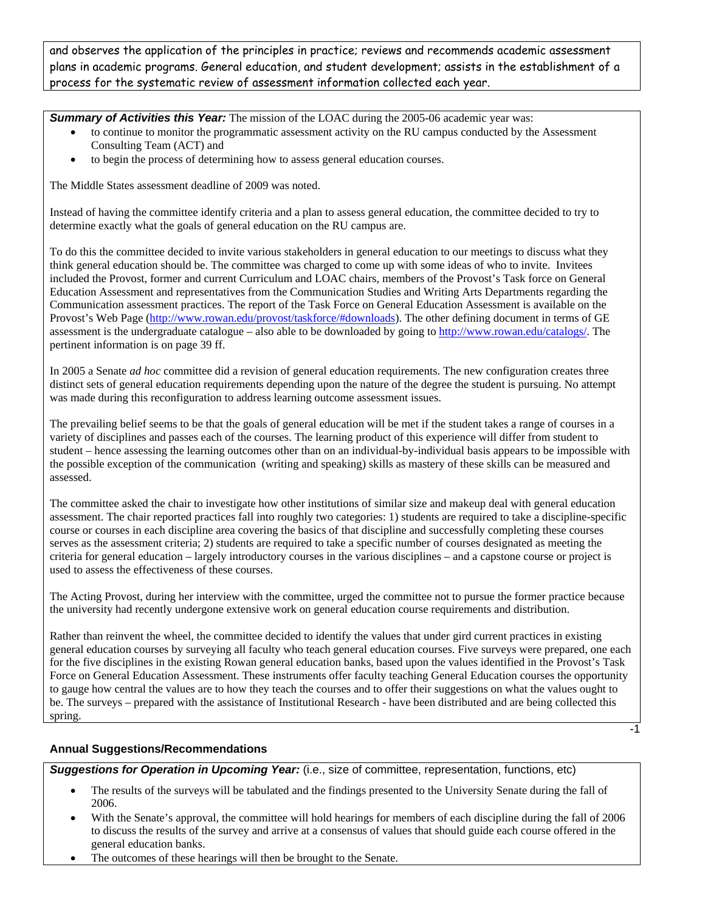and observes the application of the principles in practice; reviews and recommends academic assessment plans in academic programs. General education, and student development; assists in the establishment of a process for the systematic review of assessment information collected each year.

**Summary of Activities this Year:** The mission of the LOAC during the 2005-06 academic year was:

- to continue to monitor the programmatic assessment activity on the RU campus conducted by the Assessment Consulting Team (ACT) and
- to begin the process of determining how to assess general education courses.

The Middle States assessment deadline of 2009 was noted.

Instead of having the committee identify criteria and a plan to assess general education, the committee decided to try to determine exactly what the goals of general education on the RU campus are.

To do this the committee decided to invite various stakeholders in general education to our meetings to discuss what they think general education should be. The committee was charged to come up with some ideas of who to invite. Invitees included the Provost, former and current Curriculum and LOAC chairs, members of the Provost's Task force on General Education Assessment and representatives from the Communication Studies and Writing Arts Departments regarding the Communication assessment practices. The report of the Task Force on General Education Assessment is available on the Provost's Web Page (http://www.rowan.edu/provost/taskforce/#downloads). The other defining document in terms of GE assessment is the undergraduate catalogue – also able to be downloaded by going to http://www.rowan.edu/catalogs/. The pertinent information is on page 39 ff.

In 2005 a Senate *ad hoc* committee did a revision of general education requirements. The new configuration creates three distinct sets of general education requirements depending upon the nature of the degree the student is pursuing. No attempt was made during this reconfiguration to address learning outcome assessment issues.

The prevailing belief seems to be that the goals of general education will be met if the student takes a range of courses in a variety of disciplines and passes each of the courses. The learning product of this experience will differ from student to student – hence assessing the learning outcomes other than on an individual-by-individual basis appears to be impossible with the possible exception of the communication (writing and speaking) skills as mastery of these skills can be measured and assessed.

The committee asked the chair to investigate how other institutions of similar size and makeup deal with general education assessment. The chair reported practices fall into roughly two categories: 1) students are required to take a discipline-specific course or courses in each discipline area covering the basics of that discipline and successfully completing these courses serves as the assessment criteria; 2) students are required to take a specific number of courses designated as meeting the criteria for general education – largely introductory courses in the various disciplines – and a capstone course or project is used to assess the effectiveness of these courses.

The Acting Provost, during her interview with the committee, urged the committee not to pursue the former practice because the university had recently undergone extensive work on general education course requirements and distribution.

Rather than reinvent the wheel, the committee decided to identify the values that under gird current practices in existing general education courses by surveying all faculty who teach general education courses. Five surveys were prepared, one each for the five disciplines in the existing Rowan general education banks, based upon the values identified in the Provost's Task Force on General Education Assessment. These instruments offer faculty teaching General Education courses the opportunity to gauge how central the values are to how they teach the courses and to offer their suggestions on what the values ought to be. The surveys – prepared with the assistance of Institutional Research - have been distributed and are being collected this spring.

-1

### **Annual Suggestions/Recommendations**

*Suggestions for Operation in Upcoming Year:* (i.e., size of committee, representation, functions, etc)

- The results of the surveys will be tabulated and the findings presented to the University Senate during the fall of 2006.
- With the Senate's approval, the committee will hold hearings for members of each discipline during the fall of 2006 to discuss the results of the survey and arrive at a consensus of values that should guide each course offered in the general education banks.
- The outcomes of these hearings will then be brought to the Senate.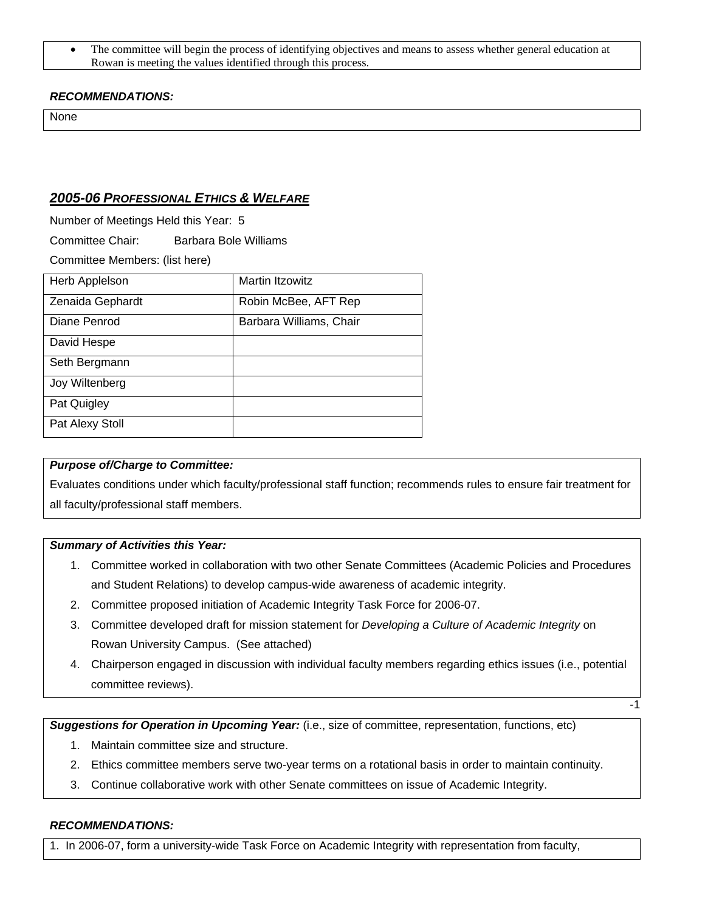• The committee will begin the process of identifying objectives and means to assess whether general education at Rowan is meeting the values identified through this process.

## *RECOMMENDATIONS:*

None

## *2005-06 PROFESSIONAL ETHICS & WELFARE*

Number of Meetings Held this Year: 5

Committee Chair: Barbara Bole Williams

Committee Members: (list here)

| Herb Applelson   | Martin Itzowitz         |
|------------------|-------------------------|
| Zenaida Gephardt | Robin McBee, AFT Rep    |
| Diane Penrod     | Barbara Williams, Chair |
| David Hespe      |                         |
| Seth Bergmann    |                         |
| Joy Wiltenberg   |                         |
| Pat Quigley      |                         |
| Pat Alexy Stoll  |                         |

### *Purpose of/Charge to Committee:*

Evaluates conditions under which faculty/professional staff function; recommends rules to ensure fair treatment for all faculty/professional staff members.

## *Summary of Activities this Year:*

- 1. Committee worked in collaboration with two other Senate Committees (Academic Policies and Procedures and Student Relations) to develop campus-wide awareness of academic integrity.
- 2. Committee proposed initiation of Academic Integrity Task Force for 2006-07.
- 3. Committee developed draft for mission statement for *Developing a Culture of Academic Integrity* on Rowan University Campus. (See attached)
- 4. Chairperson engaged in discussion with individual faculty members regarding ethics issues (i.e., potential committee reviews).

 $-1$ 

*Suggestions for Operation in Upcoming Year:* (i.e., size of committee, representation, functions, etc)

- 1. Maintain committee size and structure.
- 2. Ethics committee members serve two-year terms on a rotational basis in order to maintain continuity.
- 3. Continue collaborative work with other Senate committees on issue of Academic Integrity.

### *RECOMMENDATIONS:*

1. In 2006-07, form a university-wide Task Force on Academic Integrity with representation from faculty,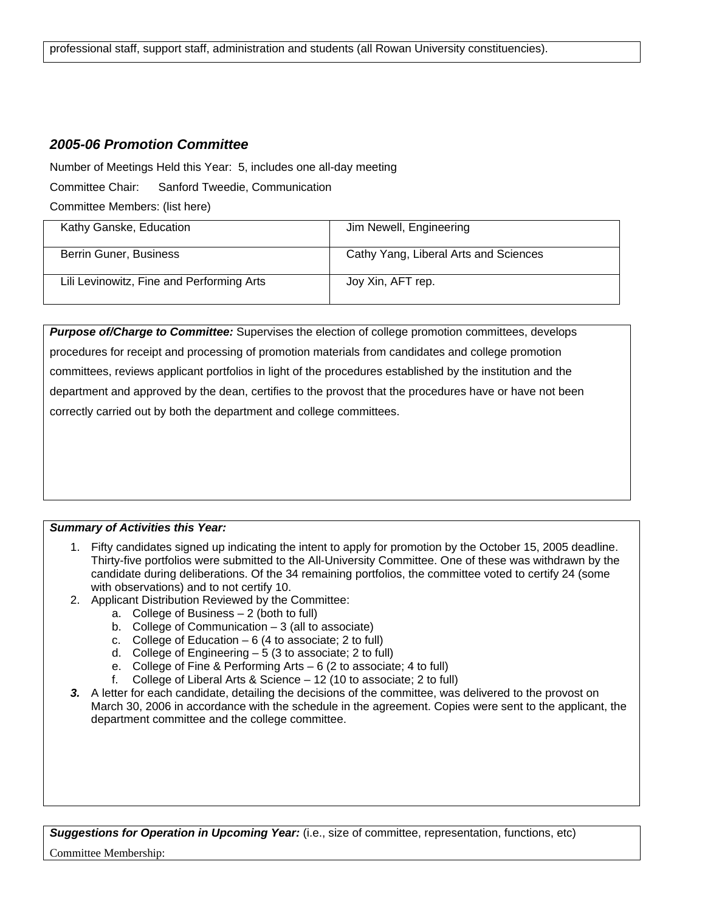# *2005-06 Promotion Committee*

Number of Meetings Held this Year: 5, includes one all-day meeting

Committee Chair: Sanford Tweedie, Communication

Committee Members: (list here)

| Kathy Ganske, Education                   | Jim Newell, Engineering               |
|-------------------------------------------|---------------------------------------|
| Berrin Guner, Business                    | Cathy Yang, Liberal Arts and Sciences |
| Lili Levinowitz, Fine and Performing Arts | Joy Xin, AFT rep.                     |

*Purpose of/Charge to Committee:* Supervises the election of college promotion committees, develops procedures for receipt and processing of promotion materials from candidates and college promotion committees, reviews applicant portfolios in light of the procedures established by the institution and the department and approved by the dean, certifies to the provost that the procedures have or have not been correctly carried out by both the department and college committees.

## *Summary of Activities this Year:*

- 1. Fifty candidates signed up indicating the intent to apply for promotion by the October 15, 2005 deadline. Thirty-five portfolios were submitted to the All-University Committee. One of these was withdrawn by the candidate during deliberations. Of the 34 remaining portfolios, the committee voted to certify 24 (some with observations) and to not certify 10.
- 2. Applicant Distribution Reviewed by the Committee:
	- a. College of Business 2 (both to full)
	- b. College of Communication  $-3$  (all to associate)
	- c. College of Education  $-6$  (4 to associate; 2 to full)
	- d. College of Engineering  $-5$  (3 to associate; 2 to full)
	- e. College of Fine & Performing Arts 6 (2 to associate; 4 to full)
	- f. College of Liberal Arts & Science 12 (10 to associate; 2 to full)
- 3. A letter for each candidate, detailing the decisions of the committee, was delivered to the provost on March 30, 2006 in accordance with the schedule in the agreement. Copies were sent to the applicant, the department committee and the college committee.

*Suggestions for Operation in Upcoming Year:* (i.e., size of committee, representation, functions, etc)

Committee Membership: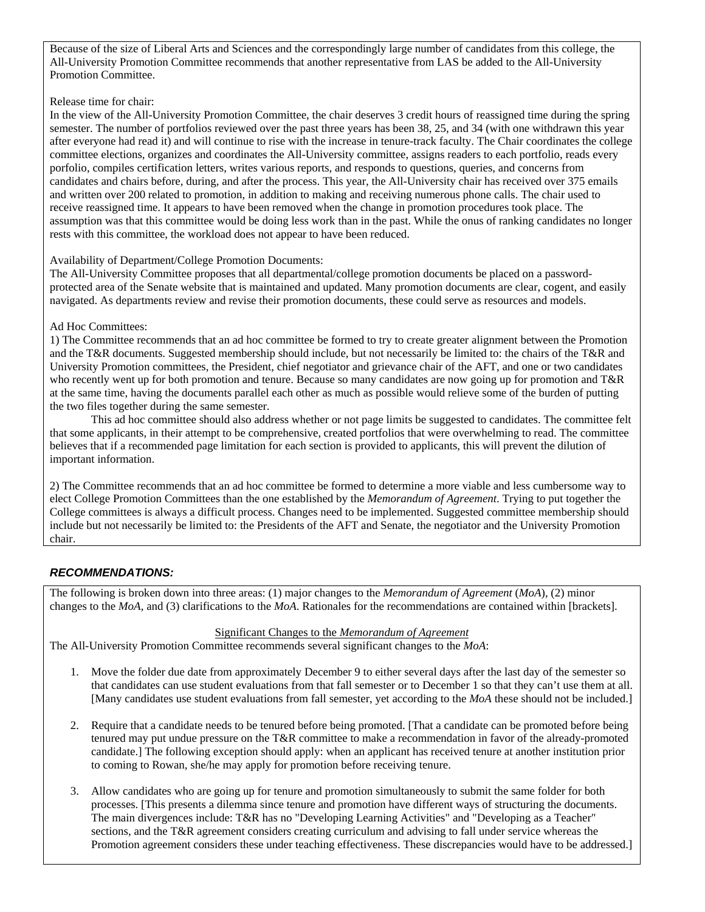Because of the size of Liberal Arts and Sciences and the correspondingly large number of candidates from this college, the All-University Promotion Committee recommends that another representative from LAS be added to the All-University Promotion Committee.

### Release time for chair:

In the view of the All-University Promotion Committee, the chair deserves 3 credit hours of reassigned time during the spring semester. The number of portfolios reviewed over the past three years has been 38, 25, and 34 (with one withdrawn this year after everyone had read it) and will continue to rise with the increase in tenure-track faculty. The Chair coordinates the college committee elections, organizes and coordinates the All-University committee, assigns readers to each portfolio, reads every porfolio, compiles certification letters, writes various reports, and responds to questions, queries, and concerns from candidates and chairs before, during, and after the process. This year, the All-University chair has received over 375 emails and written over 200 related to promotion, in addition to making and receiving numerous phone calls. The chair used to receive reassigned time. It appears to have been removed when the change in promotion procedures took place. The assumption was that this committee would be doing less work than in the past. While the onus of ranking candidates no longer rests with this committee, the workload does not appear to have been reduced.

### Availability of Department/College Promotion Documents:

The All-University Committee proposes that all departmental/college promotion documents be placed on a passwordprotected area of the Senate website that is maintained and updated. Many promotion documents are clear, cogent, and easily navigated. As departments review and revise their promotion documents, these could serve as resources and models.

### Ad Hoc Committees:

1) The Committee recommends that an ad hoc committee be formed to try to create greater alignment between the Promotion and the T&R documents. Suggested membership should include, but not necessarily be limited to: the chairs of the T&R and University Promotion committees, the President, chief negotiator and grievance chair of the AFT, and one or two candidates who recently went up for both promotion and tenure. Because so many candidates are now going up for promotion and T&R at the same time, having the documents parallel each other as much as possible would relieve some of the burden of putting the two files together during the same semester.

This ad hoc committee should also address whether or not page limits be suggested to candidates. The committee felt that some applicants, in their attempt to be comprehensive, created portfolios that were overwhelming to read. The committee believes that if a recommended page limitation for each section is provided to applicants, this will prevent the dilution of important information.

2) The Committee recommends that an ad hoc committee be formed to determine a more viable and less cumbersome way to elect College Promotion Committees than the one established by the *Memorandum of Agreement*. Trying to put together the College committees is always a difficult process. Changes need to be implemented. Suggested committee membership should include but not necessarily be limited to: the Presidents of the AFT and Senate, the negotiator and the University Promotion chair.

### *RECOMMENDATIONS:*

The following is broken down into three areas: (1) major changes to the *Memorandum of Agreement* (*MoA*), (2) minor changes to the *MoA*, and (3) clarifications to the *MoA*. Rationales for the recommendations are contained within [brackets].

#### Significant Changes to the *Memorandum of Agreement*

The All-University Promotion Committee recommends several significant changes to the *MoA*:

- 1. Move the folder due date from approximately December 9 to either several days after the last day of the semester so that candidates can use student evaluations from that fall semester or to December 1 so that they can't use them at all. [Many candidates use student evaluations from fall semester, yet according to the *MoA* these should not be included.]
- 2. Require that a candidate needs to be tenured before being promoted. [That a candidate can be promoted before being tenured may put undue pressure on the T&R committee to make a recommendation in favor of the already-promoted candidate.] The following exception should apply: when an applicant has received tenure at another institution prior to coming to Rowan, she/he may apply for promotion before receiving tenure.
- 3. Allow candidates who are going up for tenure and promotion simultaneously to submit the same folder for both processes. [This presents a dilemma since tenure and promotion have different ways of structuring the documents. The main divergences include: T&R has no "Developing Learning Activities" and "Developing as a Teacher" sections, and the T&R agreement considers creating curriculum and advising to fall under service whereas the Promotion agreement considers these under teaching effectiveness. These discrepancies would have to be addressed.]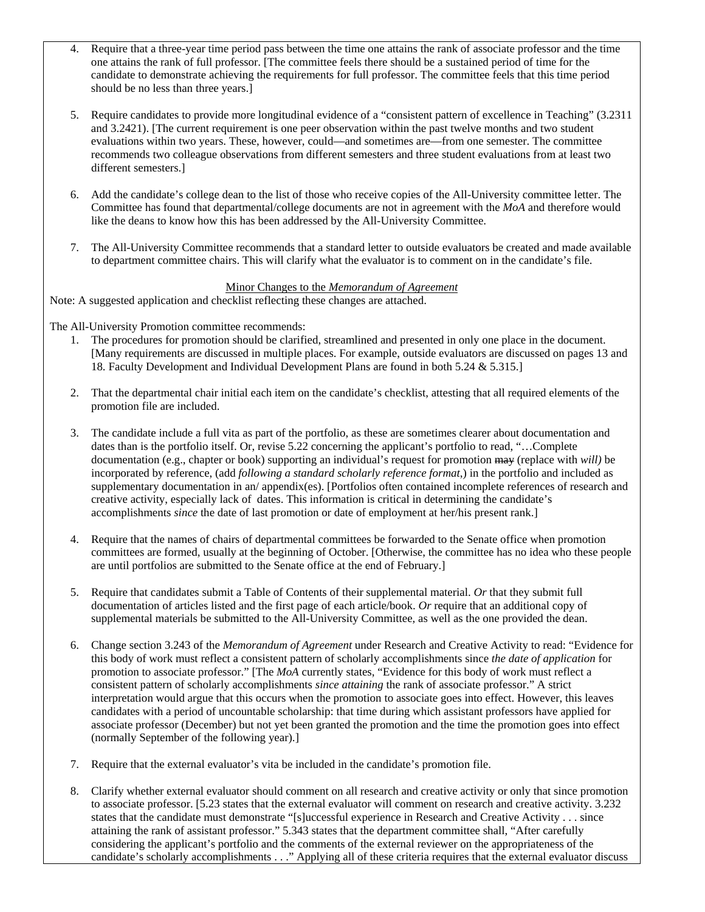- 4. Require that a three-year time period pass between the time one attains the rank of associate professor and the time one attains the rank of full professor. [The committee feels there should be a sustained period of time for the candidate to demonstrate achieving the requirements for full professor. The committee feels that this time period should be no less than three years.]
- 5. Require candidates to provide more longitudinal evidence of a "consistent pattern of excellence in Teaching" (3.2311 and 3.2421). [The current requirement is one peer observation within the past twelve months and two student evaluations within two years. These, however, could—and sometimes are—from one semester. The committee recommends two colleague observations from different semesters and three student evaluations from at least two different semesters.]
- 6. Add the candidate's college dean to the list of those who receive copies of the All-University committee letter. The Committee has found that departmental/college documents are not in agreement with the *MoA* and therefore would like the deans to know how this has been addressed by the All-University Committee.
- 7. The All-University Committee recommends that a standard letter to outside evaluators be created and made available to department committee chairs. This will clarify what the evaluator is to comment on in the candidate's file.

### Minor Changes to the *Memorandum of Agreement*

Note: A suggested application and checklist reflecting these changes are attached.

The All-University Promotion committee recommends:

- 1. The procedures for promotion should be clarified, streamlined and presented in only one place in the document. [Many requirements are discussed in multiple places. For example, outside evaluators are discussed on pages 13 and 18. Faculty Development and Individual Development Plans are found in both 5.24 & 5.315.]
- 2. That the departmental chair initial each item on the candidate's checklist, attesting that all required elements of the promotion file are included.
- 3. The candidate include a full vita as part of the portfolio, as these are sometimes clearer about documentation and dates than is the portfolio itself. Or, revise 5.22 concerning the applicant's portfolio to read, "…Complete documentation (e.g., chapter or book) supporting an individual's request for promotion may (replace with *will)* be incorporated by reference, (add *following a standard scholarly reference format*,) in the portfolio and included as supplementary documentation in an/ appendix(es). [Portfolios often contained incomplete references of research and creative activity, especially lack of dates. This information is critical in determining the candidate's accomplishments *since* the date of last promotion or date of employment at her/his present rank.]
- 4. Require that the names of chairs of departmental committees be forwarded to the Senate office when promotion committees are formed, usually at the beginning of October. [Otherwise, the committee has no idea who these people are until portfolios are submitted to the Senate office at the end of February.]
- 5. Require that candidates submit a Table of Contents of their supplemental material. *Or* that they submit full documentation of articles listed and the first page of each article/book. *Or* require that an additional copy of supplemental materials be submitted to the All-University Committee, as well as the one provided the dean.
- 6. Change section 3.243 of the *Memorandum of Agreement* under Research and Creative Activity to read: "Evidence for this body of work must reflect a consistent pattern of scholarly accomplishments since *the date of application* for promotion to associate professor." [The *MoA* currently states, "Evidence for this body of work must reflect a consistent pattern of scholarly accomplishments *since attaining* the rank of associate professor." A strict interpretation would argue that this occurs when the promotion to associate goes into effect. However, this leaves candidates with a period of uncountable scholarship: that time during which assistant professors have applied for associate professor (December) but not yet been granted the promotion and the time the promotion goes into effect (normally September of the following year).]
- 7. Require that the external evaluator's vita be included in the candidate's promotion file.
- 8. Clarify whether external evaluator should comment on all research and creative activity or only that since promotion to associate professor. [5.23 states that the external evaluator will comment on research and creative activity. 3.232 states that the candidate must demonstrate "[s]uccessful experience in Research and Creative Activity . . . since attaining the rank of assistant professor." 5.343 states that the department committee shall, "After carefully considering the applicant's portfolio and the comments of the external reviewer on the appropriateness of the candidate's scholarly accomplishments . . ." Applying all of these criteria requires that the external evaluator discuss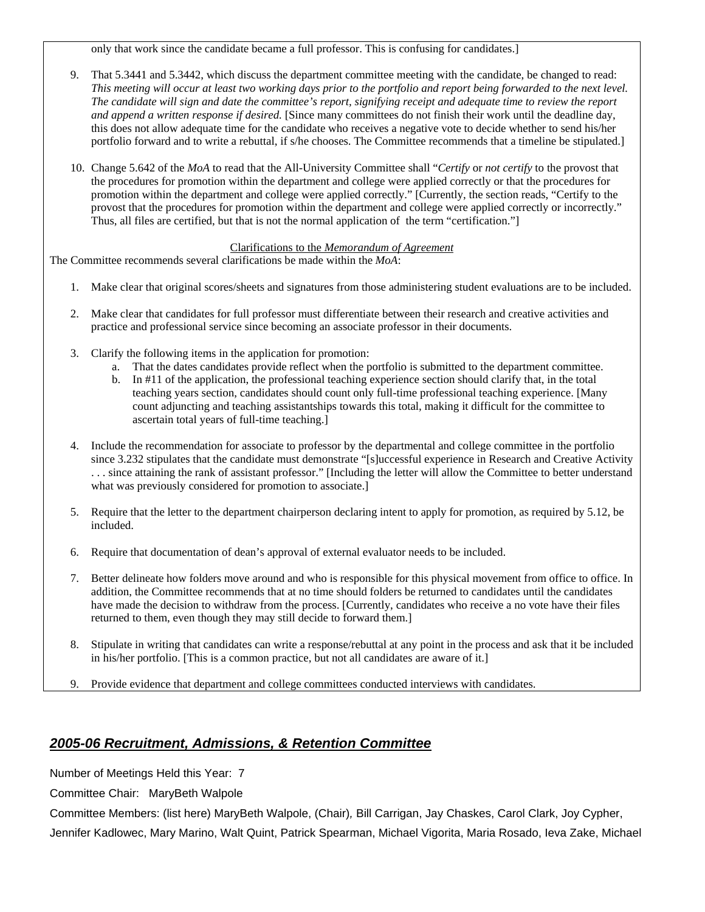only that work since the candidate became a full professor. This is confusing for candidates.]

- 9. That 5.3441 and 5.3442, which discuss the department committee meeting with the candidate, be changed to read: *This meeting will occur at least two working days prior to the portfolio and report being forwarded to the next level. The candidate will sign and date the committee's report, signifying receipt and adequate time to review the report and append a written response if desired.* [Since many committees do not finish their work until the deadline day, this does not allow adequate time for the candidate who receives a negative vote to decide whether to send his/her portfolio forward and to write a rebuttal, if s/he chooses. The Committee recommends that a timeline be stipulated.]
- 10. Change 5.642 of the *MoA* to read that the All-University Committee shall "*Certify* or *not certify* to the provost that the procedures for promotion within the department and college were applied correctly or that the procedures for promotion within the department and college were applied correctly." [Currently, the section reads, "Certify to the provost that the procedures for promotion within the department and college were applied correctly or incorrectly." Thus, all files are certified, but that is not the normal application of the term "certification."]

### Clarifications to the *Memorandum of Agreement*

The Committee recommends several clarifications be made within the *MoA*:

- 1. Make clear that original scores/sheets and signatures from those administering student evaluations are to be included.
- 2. Make clear that candidates for full professor must differentiate between their research and creative activities and practice and professional service since becoming an associate professor in their documents.
- 3. Clarify the following items in the application for promotion:
	- a. That the dates candidates provide reflect when the portfolio is submitted to the department committee.
	- b. In #11 of the application, the professional teaching experience section should clarify that, in the total teaching years section, candidates should count only full-time professional teaching experience. [Many count adjuncting and teaching assistantships towards this total, making it difficult for the committee to ascertain total years of full-time teaching.]
- 4. Include the recommendation for associate to professor by the departmental and college committee in the portfolio since 3.232 stipulates that the candidate must demonstrate "[s]uccessful experience in Research and Creative Activity . . . since attaining the rank of assistant professor." [Including the letter will allow the Committee to better understand what was previously considered for promotion to associate.]
- 5. Require that the letter to the department chairperson declaring intent to apply for promotion, as required by 5.12, be included.
- 6. Require that documentation of dean's approval of external evaluator needs to be included.
- 7. Better delineate how folders move around and who is responsible for this physical movement from office to office. In addition, the Committee recommends that at no time should folders be returned to candidates until the candidates have made the decision to withdraw from the process. [Currently, candidates who receive a no vote have their files returned to them, even though they may still decide to forward them.]
- 8. Stipulate in writing that candidates can write a response/rebuttal at any point in the process and ask that it be included in his/her portfolio. [This is a common practice, but not all candidates are aware of it.]
- 9. Provide evidence that department and college committees conducted interviews with candidates.

# *2005-06 Recruitment, Admissions, & Retention Committee*

Number of Meetings Held this Year: 7

Committee Chair: MaryBeth Walpole

Committee Members: (list here) MaryBeth Walpole, (Chair)*,* Bill Carrigan, Jay Chaskes, Carol Clark, Joy Cypher, Jennifer Kadlowec, Mary Marino, Walt Quint, Patrick Spearman, Michael Vigorita, Maria Rosado, Ieva Zake, Michael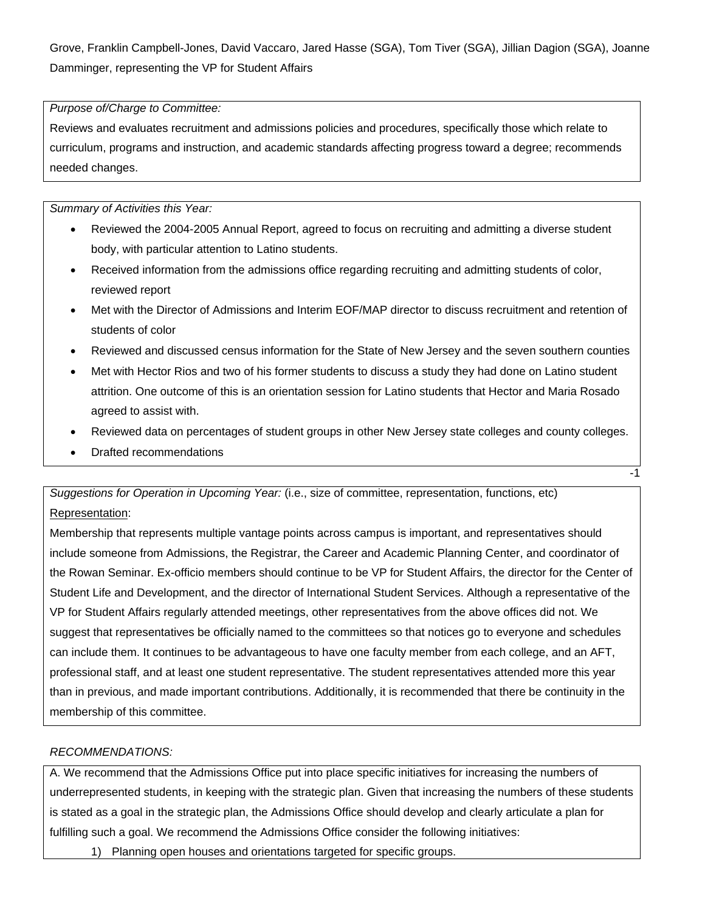Grove, Franklin Campbell-Jones, David Vaccaro, Jared Hasse (SGA), Tom Tiver (SGA), Jillian Dagion (SGA), Joanne Damminger, representing the VP for Student Affairs

## *Purpose of/Charge to Committee:*

Reviews and evaluates recruitment and admissions policies and procedures, specifically those which relate to curriculum, programs and instruction, and academic standards affecting progress toward a degree; recommends needed changes.

*Summary of Activities this Year:* 

- Reviewed the 2004-2005 Annual Report, agreed to focus on recruiting and admitting a diverse student body, with particular attention to Latino students.
- Received information from the admissions office regarding recruiting and admitting students of color, reviewed report
- Met with the Director of Admissions and Interim EOF/MAP director to discuss recruitment and retention of students of color
- Reviewed and discussed census information for the State of New Jersey and the seven southern counties
- Met with Hector Rios and two of his former students to discuss a study they had done on Latino student attrition. One outcome of this is an orientation session for Latino students that Hector and Maria Rosado agreed to assist with.
- Reviewed data on percentages of student groups in other New Jersey state colleges and county colleges.

-1

• Drafted recommendations

*Suggestions for Operation in Upcoming Year:* (i.e., size of committee, representation, functions, etc) Representation:

Membership that represents multiple vantage points across campus is important, and representatives should include someone from Admissions, the Registrar, the Career and Academic Planning Center, and coordinator of the Rowan Seminar. Ex-officio members should continue to be VP for Student Affairs, the director for the Center of Student Life and Development, and the director of International Student Services. Although a representative of the VP for Student Affairs regularly attended meetings, other representatives from the above offices did not. We suggest that representatives be officially named to the committees so that notices go to everyone and schedules can include them. It continues to be advantageous to have one faculty member from each college, and an AFT, professional staff, and at least one student representative. The student representatives attended more this year than in previous, and made important contributions. Additionally, it is recommended that there be continuity in the membership of this committee.

## *RECOMMENDATIONS:*

A. We recommend that the Admissions Office put into place specific initiatives for increasing the numbers of underrepresented students, in keeping with the strategic plan. Given that increasing the numbers of these students is stated as a goal in the strategic plan, the Admissions Office should develop and clearly articulate a plan for fulfilling such a goal. We recommend the Admissions Office consider the following initiatives:

1) Planning open houses and orientations targeted for specific groups.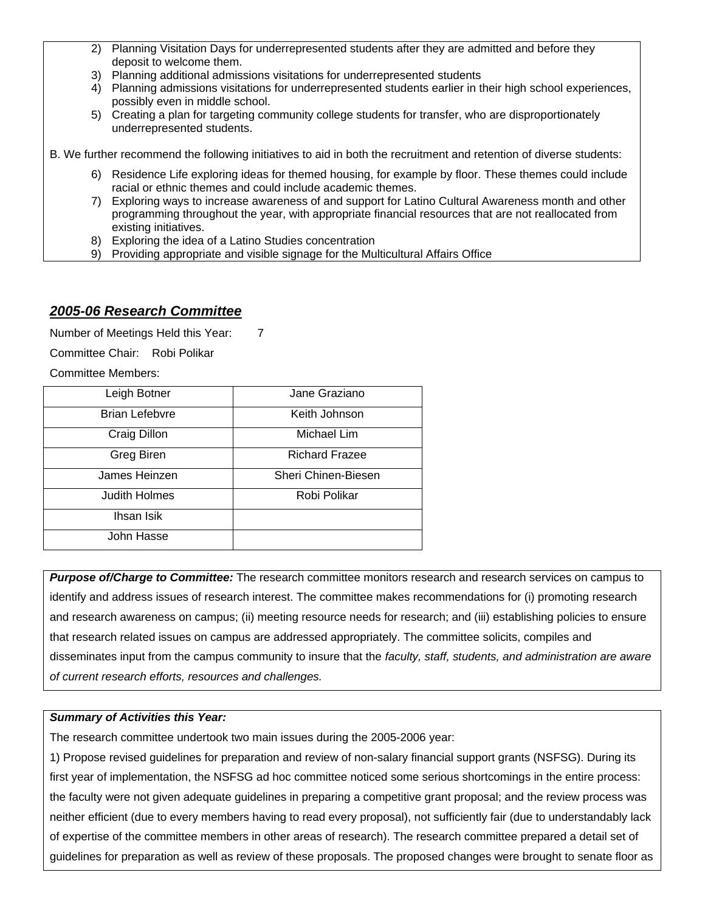- 2) Planning Visitation Days for underrepresented students after they are admitted and before they deposit to welcome them.
- 3) Planning additional admissions visitations for underrepresented students
- 4) Planning admissions visitations for underrepresented students earlier in their high school experiences, possibly even in middle school.
- 5) Creating a plan for targeting community college students for transfer, who are disproportionately underrepresented students.

B. We further recommend the following initiatives to aid in both the recruitment and retention of diverse students:

- 6) Residence Life exploring ideas for themed housing, for example by floor. These themes could include racial or ethnic themes and could include academic themes.
- 7) Exploring ways to increase awareness of and support for Latino Cultural Awareness month and other programming throughout the year, with appropriate financial resources that are not reallocated from existing initiatives.
- 8) Exploring the idea of a Latino Studies concentration
- 9) Providing appropriate and visible signage for the Multicultural Affairs Office

## *2005-06 Research Committee*

Number of Meetings Held this Year: 7

Committee Chair: Robi Polikar

Committee Members:

| Leigh Botner          | Jane Graziano         |
|-----------------------|-----------------------|
| <b>Brian Lefebvre</b> | Keith Johnson         |
| Craig Dillon          | Michael Lim           |
| Greg Biren            | <b>Richard Frazee</b> |
| James Heinzen         | Sheri Chinen-Biesen   |
| <b>Judith Holmes</b>  | Robi Polikar          |
| Ihsan Isik            |                       |
| John Hasse            |                       |

*Purpose of/Charge to Committee:* The research committee monitors research and research services on campus to identify and address issues of research interest. The committee makes recommendations for (i) promoting research and research awareness on campus; (ii) meeting resource needs for research; and (iii) establishing policies to ensure that research related issues on campus are addressed appropriately. The committee solicits, compiles and disseminates input from the campus community to insure that the *faculty, staff, students, and administration are aware of current research efforts, resources and challenges.*

## *Summary of Activities this Year:*

The research committee undertook two main issues during the 2005-2006 year:

1) Propose revised guidelines for preparation and review of non-salary financial support grants (NSFSG). During its first year of implementation, the NSFSG ad hoc committee noticed some serious shortcomings in the entire process: the faculty were not given adequate guidelines in preparing a competitive grant proposal; and the review process was neither efficient (due to every members having to read every proposal), not sufficiently fair (due to understandably lack of expertise of the committee members in other areas of research). The research committee prepared a detail set of guidelines for preparation as well as review of these proposals. The proposed changes were brought to senate floor as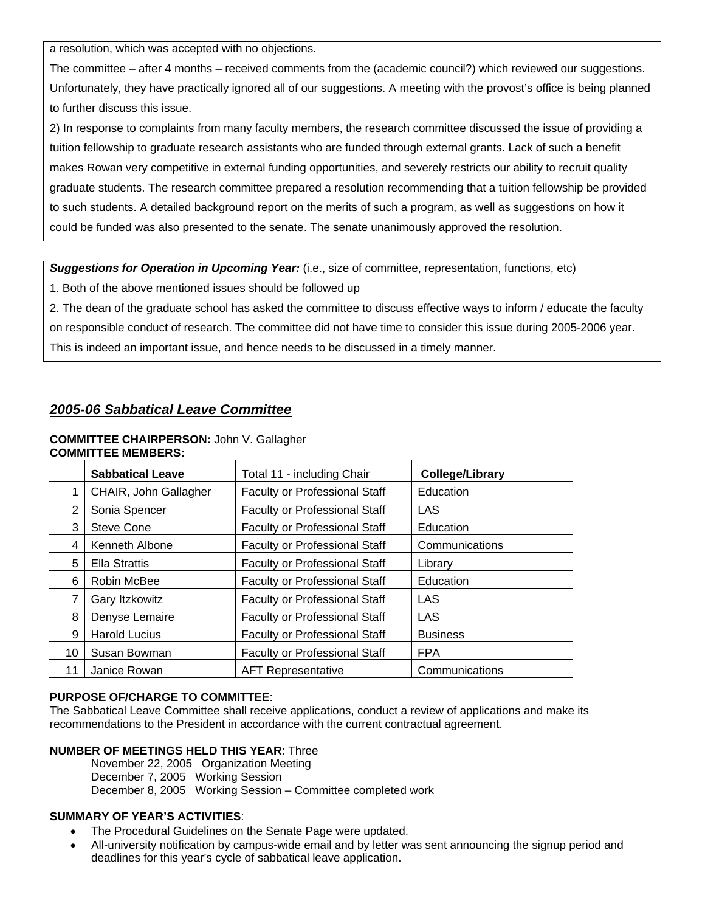a resolution, which was accepted with no objections.

The committee – after 4 months – received comments from the (academic council?) which reviewed our suggestions. Unfortunately, they have practically ignored all of our suggestions. A meeting with the provost's office is being planned to further discuss this issue.

2) In response to complaints from many faculty members, the research committee discussed the issue of providing a tuition fellowship to graduate research assistants who are funded through external grants. Lack of such a benefit makes Rowan very competitive in external funding opportunities, and severely restricts our ability to recruit quality graduate students. The research committee prepared a resolution recommending that a tuition fellowship be provided to such students. A detailed background report on the merits of such a program, as well as suggestions on how it could be funded was also presented to the senate. The senate unanimously approved the resolution.

*Suggestions for Operation in Upcoming Year:* (i.e., size of committee, representation, functions, etc)

1. Both of the above mentioned issues should be followed up

2. The dean of the graduate school has asked the committee to discuss effective ways to inform / educate the faculty on responsible conduct of research. The committee did not have time to consider this issue during 2005-2006 year. This is indeed an important issue, and hence needs to be discussed in a timely manner.

# *2005-06 Sabbatical Leave Committee*

#### **COMMITTEE CHAIRPERSON:** John V. Gallagher **COMMITTEE MEMBERS:**

|    | <b>Sabbatical Leave</b> | Total 11 - including Chair           | <b>College/Library</b> |
|----|-------------------------|--------------------------------------|------------------------|
|    | CHAIR, John Gallagher   | <b>Faculty or Professional Staff</b> | Education              |
| 2  | Sonia Spencer           | <b>Faculty or Professional Staff</b> | LAS                    |
| 3  | <b>Steve Cone</b>       | <b>Faculty or Professional Staff</b> | Education              |
| 4  | Kenneth Albone          | <b>Faculty or Professional Staff</b> | Communications         |
| 5  | <b>Ella Strattis</b>    | <b>Faculty or Professional Staff</b> | Library                |
| 6  | Robin McBee             | <b>Faculty or Professional Staff</b> | Education              |
| 7  | Gary Itzkowitz          | <b>Faculty or Professional Staff</b> | LAS                    |
| 8  | Denyse Lemaire          | <b>Faculty or Professional Staff</b> | LAS                    |
| 9  | <b>Harold Lucius</b>    | <b>Faculty or Professional Staff</b> | <b>Business</b>        |
| 10 | Susan Bowman            | <b>Faculty or Professional Staff</b> | <b>FPA</b>             |
| 11 | Janice Rowan            | <b>AFT Representative</b>            | Communications         |

## **PURPOSE OF/CHARGE TO COMMITTEE**:

The Sabbatical Leave Committee shall receive applications, conduct a review of applications and make its recommendations to the President in accordance with the current contractual agreement.

### **NUMBER OF MEETINGS HELD THIS YEAR**: Three

November 22, 2005 Organization Meeting December 7, 2005 Working Session December 8, 2005 Working Session – Committee completed work

## **SUMMARY OF YEAR'S ACTIVITIES**:

- The Procedural Guidelines on the Senate Page were updated.
- All-university notification by campus-wide email and by letter was sent announcing the signup period and deadlines for this year's cycle of sabbatical leave application.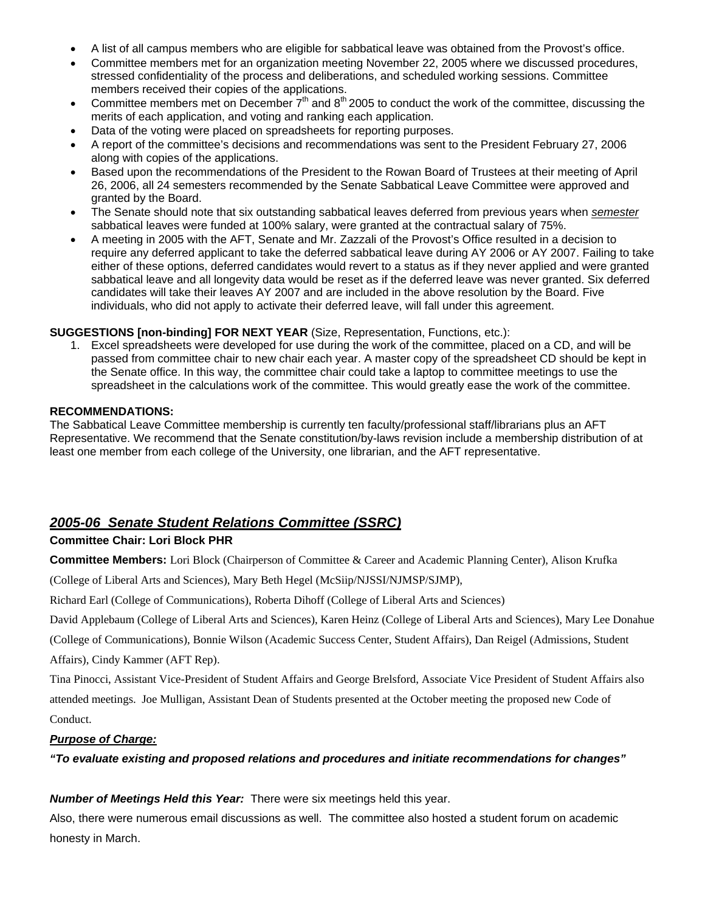- A list of all campus members who are eligible for sabbatical leave was obtained from the Provost's office.
- Committee members met for an organization meeting November 22, 2005 where we discussed procedures, stressed confidentiality of the process and deliberations, and scheduled working sessions. Committee members received their copies of the applications.
- Committee members met on December  $7<sup>th</sup>$  and  $8<sup>th</sup>$  2005 to conduct the work of the committee, discussing the merits of each application, and voting and ranking each application.
- Data of the voting were placed on spreadsheets for reporting purposes.
- A report of the committee's decisions and recommendations was sent to the President February 27, 2006 along with copies of the applications.
- Based upon the recommendations of the President to the Rowan Board of Trustees at their meeting of April 26, 2006, all 24 semesters recommended by the Senate Sabbatical Leave Committee were approved and granted by the Board.
- The Senate should note that six outstanding sabbatical leaves deferred from previous years when *semester* sabbatical leaves were funded at 100% salary, were granted at the contractual salary of 75%.
- A meeting in 2005 with the AFT, Senate and Mr. Zazzali of the Provost's Office resulted in a decision to require any deferred applicant to take the deferred sabbatical leave during AY 2006 or AY 2007. Failing to take either of these options, deferred candidates would revert to a status as if they never applied and were granted sabbatical leave and all longevity data would be reset as if the deferred leave was never granted. Six deferred candidates will take their leaves AY 2007 and are included in the above resolution by the Board. Five individuals, who did not apply to activate their deferred leave, will fall under this agreement.

### **SUGGESTIONS [non-binding] FOR NEXT YEAR** (Size, Representation, Functions, etc.):

1. Excel spreadsheets were developed for use during the work of the committee, placed on a CD, and will be passed from committee chair to new chair each year. A master copy of the spreadsheet CD should be kept in the Senate office. In this way, the committee chair could take a laptop to committee meetings to use the spreadsheet in the calculations work of the committee. This would greatly ease the work of the committee.

### **RECOMMENDATIONS:**

The Sabbatical Leave Committee membership is currently ten faculty/professional staff/librarians plus an AFT Representative. We recommend that the Senate constitution/by-laws revision include a membership distribution of at least one member from each college of the University, one librarian, and the AFT representative.

# *2005-06 Senate Student Relations Committee (SSRC)*

## **Committee Chair: Lori Block PHR**

**Committee Members:** Lori Block (Chairperson of Committee & Career and Academic Planning Center), Alison Krufka

(College of Liberal Arts and Sciences), Mary Beth Hegel (McSiip/NJSSI/NJMSP/SJMP),

Richard Earl (College of Communications), Roberta Dihoff (College of Liberal Arts and Sciences)

David Applebaum (College of Liberal Arts and Sciences), Karen Heinz (College of Liberal Arts and Sciences), Mary Lee Donahue

(College of Communications), Bonnie Wilson (Academic Success Center, Student Affairs), Dan Reigel (Admissions, Student

Affairs), Cindy Kammer (AFT Rep).

Tina Pinocci, Assistant Vice-President of Student Affairs and George Brelsford, Associate Vice President of Student Affairs also attended meetings. Joe Mulligan, Assistant Dean of Students presented at the October meeting the proposed new Code of

Conduct.

## *Purpose of Charge:*

*"To evaluate existing and proposed relations and procedures and initiate recommendations for changes"* 

## *Number of Meetings Held this Year:* There were six meetings held this year.

Also, there were numerous email discussions as well. The committee also hosted a student forum on academic honesty in March.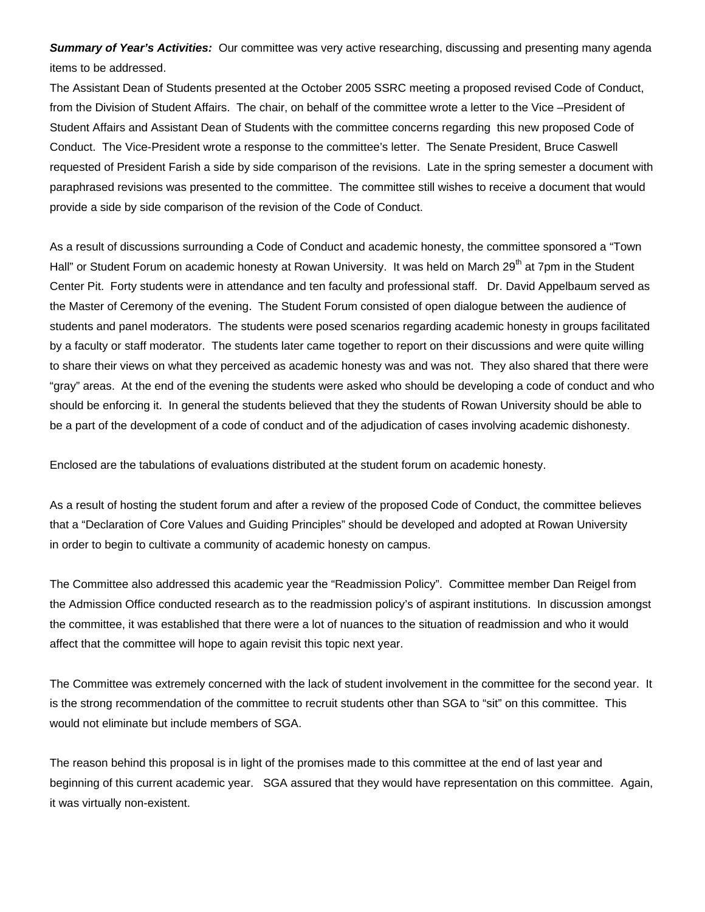*Summary of Year's Activities:* Our committee was very active researching, discussing and presenting many agenda items to be addressed.

The Assistant Dean of Students presented at the October 2005 SSRC meeting a proposed revised Code of Conduct, from the Division of Student Affairs. The chair, on behalf of the committee wrote a letter to the Vice –President of Student Affairs and Assistant Dean of Students with the committee concerns regarding this new proposed Code of Conduct. The Vice-President wrote a response to the committee's letter. The Senate President, Bruce Caswell requested of President Farish a side by side comparison of the revisions. Late in the spring semester a document with paraphrased revisions was presented to the committee. The committee still wishes to receive a document that would provide a side by side comparison of the revision of the Code of Conduct.

As a result of discussions surrounding a Code of Conduct and academic honesty, the committee sponsored a "Town Hall" or Student Forum on academic honesty at Rowan University. It was held on March 29<sup>th</sup> at 7pm in the Student Center Pit. Forty students were in attendance and ten faculty and professional staff. Dr. David Appelbaum served as the Master of Ceremony of the evening. The Student Forum consisted of open dialogue between the audience of students and panel moderators. The students were posed scenarios regarding academic honesty in groups facilitated by a faculty or staff moderator. The students later came together to report on their discussions and were quite willing to share their views on what they perceived as academic honesty was and was not. They also shared that there were "gray" areas. At the end of the evening the students were asked who should be developing a code of conduct and who should be enforcing it. In general the students believed that they the students of Rowan University should be able to be a part of the development of a code of conduct and of the adjudication of cases involving academic dishonesty.

Enclosed are the tabulations of evaluations distributed at the student forum on academic honesty.

As a result of hosting the student forum and after a review of the proposed Code of Conduct, the committee believes that a "Declaration of Core Values and Guiding Principles" should be developed and adopted at Rowan University in order to begin to cultivate a community of academic honesty on campus.

The Committee also addressed this academic year the "Readmission Policy". Committee member Dan Reigel from the Admission Office conducted research as to the readmission policy's of aspirant institutions. In discussion amongst the committee, it was established that there were a lot of nuances to the situation of readmission and who it would affect that the committee will hope to again revisit this topic next year.

The Committee was extremely concerned with the lack of student involvement in the committee for the second year. It is the strong recommendation of the committee to recruit students other than SGA to "sit" on this committee. This would not eliminate but include members of SGA.

The reason behind this proposal is in light of the promises made to this committee at the end of last year and beginning of this current academic year. SGA assured that they would have representation on this committee. Again, it was virtually non-existent.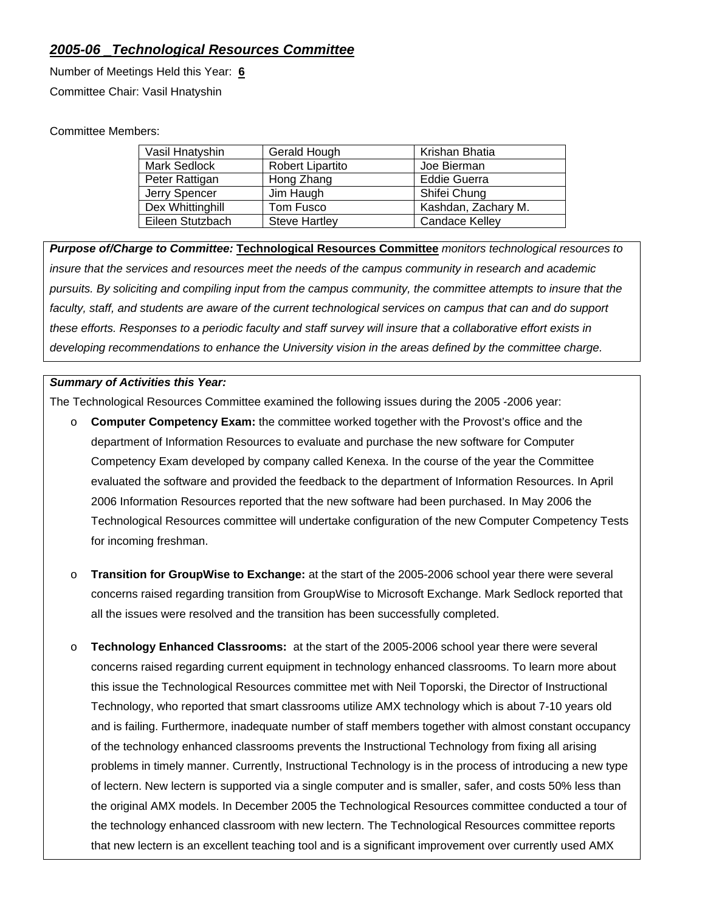# *2005-06 \_Technological Resources Committee*

Number of Meetings Held this Year: **6** Committee Chair: Vasil Hnatyshin

## Committee Members:

| Vasil Hnatyshin     | Gerald Hough            | Krishan Bhatia        |
|---------------------|-------------------------|-----------------------|
| <b>Mark Sedlock</b> | <b>Robert Lipartito</b> | Joe Bierman           |
| Peter Rattigan      | Hong Zhang              | <b>Eddie Guerra</b>   |
| Jerry Spencer       | Jim Haugh               | Shifei Chung          |
| Dex Whittinghill    | Tom Fusco               | Kashdan, Zachary M.   |
| Eileen Stutzbach    | <b>Steve Hartley</b>    | <b>Candace Kelley</b> |

*Purpose of/Charge to Committee:* **Technological Resources Committee** *monitors technological resources to insure that the services and resources meet the needs of the campus community in research and academic pursuits. By soliciting and compiling input from the campus community, the committee attempts to insure that the*  faculty, staff, and students are aware of the current technological services on campus that can and do support *these efforts. Responses to a periodic faculty and staff survey will insure that a collaborative effort exists in developing recommendations to enhance the University vision in the areas defined by the committee charge.* 

## *Summary of Activities this Year:*

The Technological Resources Committee examined the following issues during the 2005 -2006 year:

- o **Computer Competency Exam:** the committee worked together with the Provost's office and the department of Information Resources to evaluate and purchase the new software for Computer Competency Exam developed by company called Kenexa. In the course of the year the Committee evaluated the software and provided the feedback to the department of Information Resources. In April 2006 Information Resources reported that the new software had been purchased. In May 2006 the Technological Resources committee will undertake configuration of the new Computer Competency Tests for incoming freshman.
- o **Transition for GroupWise to Exchange:** at the start of the 2005-2006 school year there were several concerns raised regarding transition from GroupWise to Microsoft Exchange. Mark Sedlock reported that all the issues were resolved and the transition has been successfully completed.
- o **Technology Enhanced Classrooms:** at the start of the 2005-2006 school year there were several concerns raised regarding current equipment in technology enhanced classrooms. To learn more about this issue the Technological Resources committee met with Neil Toporski, the Director of Instructional Technology, who reported that smart classrooms utilize AMX technology which is about 7-10 years old and is failing. Furthermore, inadequate number of staff members together with almost constant occupancy of the technology enhanced classrooms prevents the Instructional Technology from fixing all arising problems in timely manner. Currently, Instructional Technology is in the process of introducing a new type of lectern. New lectern is supported via a single computer and is smaller, safer, and costs 50% less than the original AMX models. In December 2005 the Technological Resources committee conducted a tour of the technology enhanced classroom with new lectern. The Technological Resources committee reports that new lectern is an excellent teaching tool and is a significant improvement over currently used AMX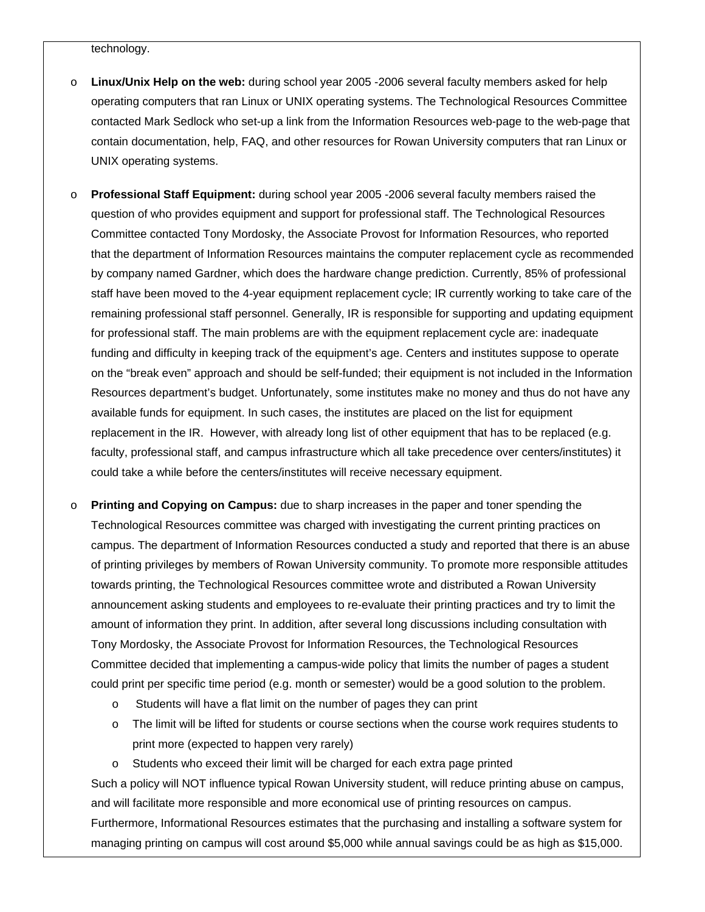technology.

- o **Linux/Unix Help on the web:** during school year 2005 -2006 several faculty members asked for help operating computers that ran Linux or UNIX operating systems. The Technological Resources Committee contacted Mark Sedlock who set-up a link from the Information Resources web-page to the web-page that contain documentation, help, FAQ, and other resources for Rowan University computers that ran Linux or UNIX operating systems.
- o **Professional Staff Equipment:** during school year 2005 -2006 several faculty members raised the question of who provides equipment and support for professional staff. The Technological Resources Committee contacted Tony Mordosky, the Associate Provost for Information Resources, who reported that the department of Information Resources maintains the computer replacement cycle as recommended by company named Gardner, which does the hardware change prediction. Currently, 85% of professional staff have been moved to the 4-year equipment replacement cycle; IR currently working to take care of the remaining professional staff personnel. Generally, IR is responsible for supporting and updating equipment for professional staff. The main problems are with the equipment replacement cycle are: inadequate funding and difficulty in keeping track of the equipment's age. Centers and institutes suppose to operate on the "break even" approach and should be self-funded; their equipment is not included in the Information Resources department's budget. Unfortunately, some institutes make no money and thus do not have any available funds for equipment. In such cases, the institutes are placed on the list for equipment replacement in the IR. However, with already long list of other equipment that has to be replaced (e.g. faculty, professional staff, and campus infrastructure which all take precedence over centers/institutes) it could take a while before the centers/institutes will receive necessary equipment.
- o **Printing and Copying on Campus:** due to sharp increases in the paper and toner spending the Technological Resources committee was charged with investigating the current printing practices on campus. The department of Information Resources conducted a study and reported that there is an abuse of printing privileges by members of Rowan University community. To promote more responsible attitudes towards printing, the Technological Resources committee wrote and distributed a Rowan University announcement asking students and employees to re-evaluate their printing practices and try to limit the amount of information they print. In addition, after several long discussions including consultation with Tony Mordosky, the Associate Provost for Information Resources, the Technological Resources Committee decided that implementing a campus-wide policy that limits the number of pages a student could print per specific time period (e.g. month or semester) would be a good solution to the problem.
	- o Students will have a flat limit on the number of pages they can print
	- o The limit will be lifted for students or course sections when the course work requires students to print more (expected to happen very rarely)
	- o Students who exceed their limit will be charged for each extra page printed

Such a policy will NOT influence typical Rowan University student, will reduce printing abuse on campus, and will facilitate more responsible and more economical use of printing resources on campus. Furthermore, Informational Resources estimates that the purchasing and installing a software system for managing printing on campus will cost around \$5,000 while annual savings could be as high as \$15,000.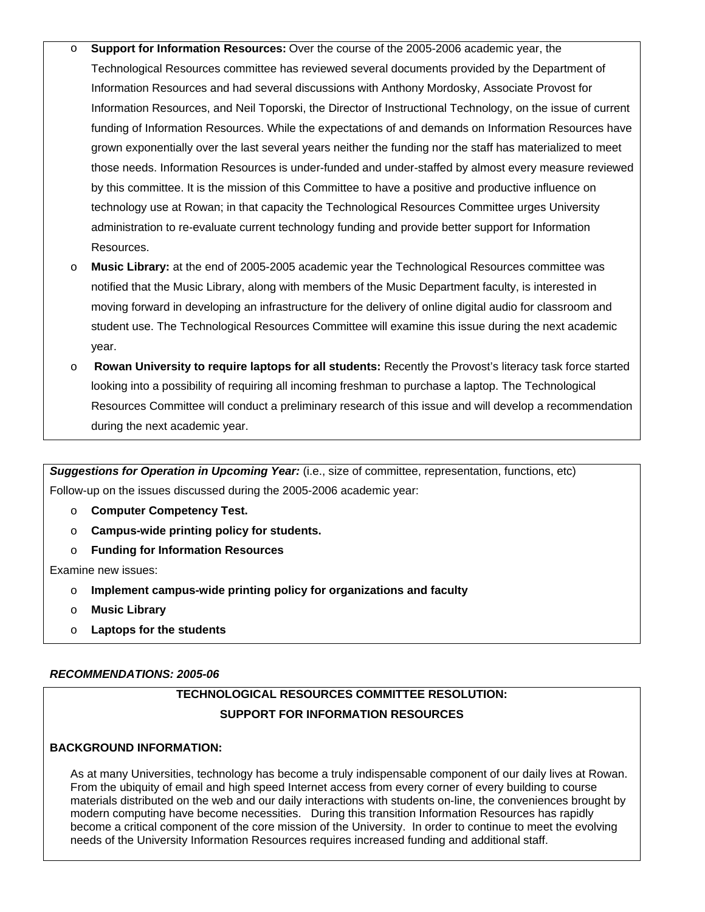- o **Support for Information Resources:** Over the course of the 2005-2006 academic year, the Technological Resources committee has reviewed several documents provided by the Department of Information Resources and had several discussions with Anthony Mordosky, Associate Provost for Information Resources, and Neil Toporski, the Director of Instructional Technology, on the issue of current funding of Information Resources. While the expectations of and demands on Information Resources have grown exponentially over the last several years neither the funding nor the staff has materialized to meet those needs. Information Resources is under-funded and under-staffed by almost every measure reviewed by this committee. It is the mission of this Committee to have a positive and productive influence on technology use at Rowan; in that capacity the Technological Resources Committee urges University administration to re-evaluate current technology funding and provide better support for Information Resources.
- o **Music Library:** at the end of 2005-2005 academic year the Technological Resources committee was notified that the Music Library, along with members of the Music Department faculty, is interested in moving forward in developing an infrastructure for the delivery of online digital audio for classroom and student use. The Technological Resources Committee will examine this issue during the next academic year.
- o **Rowan University to require laptops for all students:** Recently the Provost's literacy task force started looking into a possibility of requiring all incoming freshman to purchase a laptop. The Technological Resources Committee will conduct a preliminary research of this issue and will develop a recommendation during the next academic year.

*Suggestions for Operation in Upcoming Year:* (i.e., size of committee, representation, functions, etc) Follow-up on the issues discussed during the 2005-2006 academic year:

- o **Computer Competency Test.**
- o **Campus-wide printing policy for students.**
- o **Funding for Information Resources**

Examine new issues:

- o **Implement campus-wide printing policy for organizations and faculty**
- o **Music Library**
- o **Laptops for the students**

## *RECOMMENDATIONS: 2005-06*

# **TECHNOLOGICAL RESOURCES COMMITTEE RESOLUTION: SUPPORT FOR INFORMATION RESOURCES**

## **BACKGROUND INFORMATION:**

As at many Universities, technology has become a truly indispensable component of our daily lives at Rowan. From the ubiquity of email and high speed Internet access from every corner of every building to course materials distributed on the web and our daily interactions with students on-line, the conveniences brought by modern computing have become necessities. During this transition Information Resources has rapidly become a critical component of the core mission of the University. In order to continue to meet the evolving needs of the University Information Resources requires increased funding and additional staff.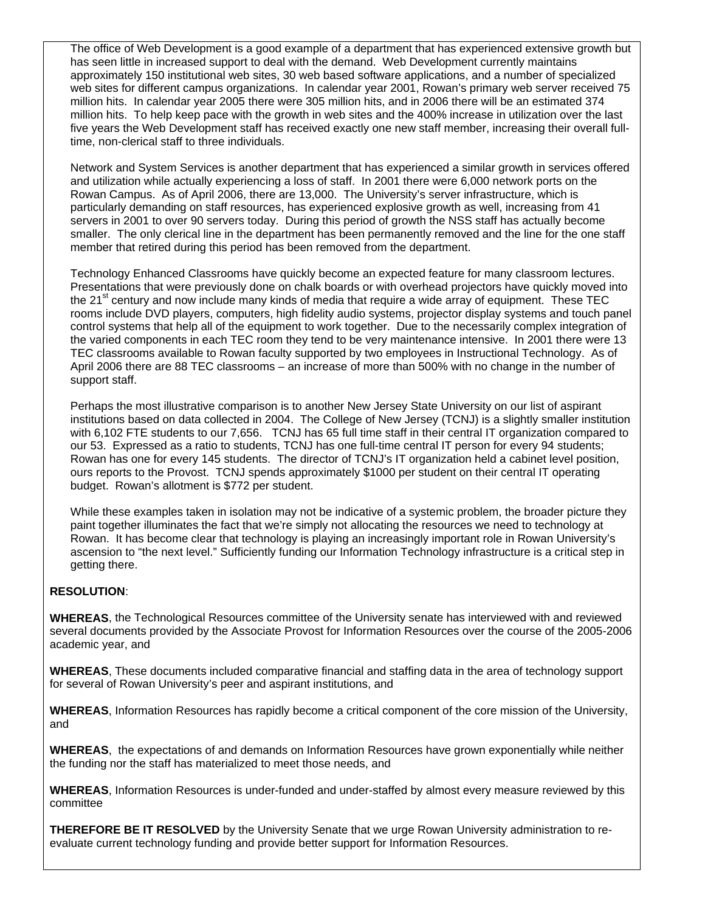The office of Web Development is a good example of a department that has experienced extensive growth but has seen little in increased support to deal with the demand. Web Development currently maintains approximately 150 institutional web sites, 30 web based software applications, and a number of specialized web sites for different campus organizations. In calendar year 2001, Rowan's primary web server received 75 million hits. In calendar year 2005 there were 305 million hits, and in 2006 there will be an estimated 374 million hits. To help keep pace with the growth in web sites and the 400% increase in utilization over the last five years the Web Development staff has received exactly one new staff member, increasing their overall fulltime, non-clerical staff to three individuals.

Network and System Services is another department that has experienced a similar growth in services offered and utilization while actually experiencing a loss of staff. In 2001 there were 6,000 network ports on the Rowan Campus. As of April 2006, there are 13,000. The University's server infrastructure, which is particularly demanding on staff resources, has experienced explosive growth as well, increasing from 41 servers in 2001 to over 90 servers today. During this period of growth the NSS staff has actually become smaller. The only clerical line in the department has been permanently removed and the line for the one staff member that retired during this period has been removed from the department.

Technology Enhanced Classrooms have quickly become an expected feature for many classroom lectures. Presentations that were previously done on chalk boards or with overhead projectors have quickly moved into the 21<sup>st</sup> century and now include many kinds of media that require a wide array of equipment. These TEC rooms include DVD players, computers, high fidelity audio systems, projector display systems and touch panel control systems that help all of the equipment to work together. Due to the necessarily complex integration of the varied components in each TEC room they tend to be very maintenance intensive. In 2001 there were 13 TEC classrooms available to Rowan faculty supported by two employees in Instructional Technology. As of April 2006 there are 88 TEC classrooms – an increase of more than 500% with no change in the number of support staff.

Perhaps the most illustrative comparison is to another New Jersey State University on our list of aspirant institutions based on data collected in 2004. The College of New Jersey (TCNJ) is a slightly smaller institution with 6,102 FTE students to our 7,656. TCNJ has 65 full time staff in their central IT organization compared to our 53. Expressed as a ratio to students, TCNJ has one full-time central IT person for every 94 students; Rowan has one for every 145 students. The director of TCNJ's IT organization held a cabinet level position, ours reports to the Provost. TCNJ spends approximately \$1000 per student on their central IT operating budget. Rowan's allotment is \$772 per student.

While these examples taken in isolation may not be indicative of a systemic problem, the broader picture they paint together illuminates the fact that we're simply not allocating the resources we need to technology at Rowan. It has become clear that technology is playing an increasingly important role in Rowan University's ascension to "the next level." Sufficiently funding our Information Technology infrastructure is a critical step in getting there.

## **RESOLUTION**:

**WHEREAS**, the Technological Resources committee of the University senate has interviewed with and reviewed several documents provided by the Associate Provost for Information Resources over the course of the 2005-2006 academic year, and

**WHEREAS**, These documents included comparative financial and staffing data in the area of technology support for several of Rowan University's peer and aspirant institutions, and

**WHEREAS**, Information Resources has rapidly become a critical component of the core mission of the University, and

**WHEREAS**, the expectations of and demands on Information Resources have grown exponentially while neither the funding nor the staff has materialized to meet those needs, and

**WHEREAS**, Information Resources is under-funded and under-staffed by almost every measure reviewed by this committee

**THEREFORE BE IT RESOLVED** by the University Senate that we urge Rowan University administration to reevaluate current technology funding and provide better support for Information Resources.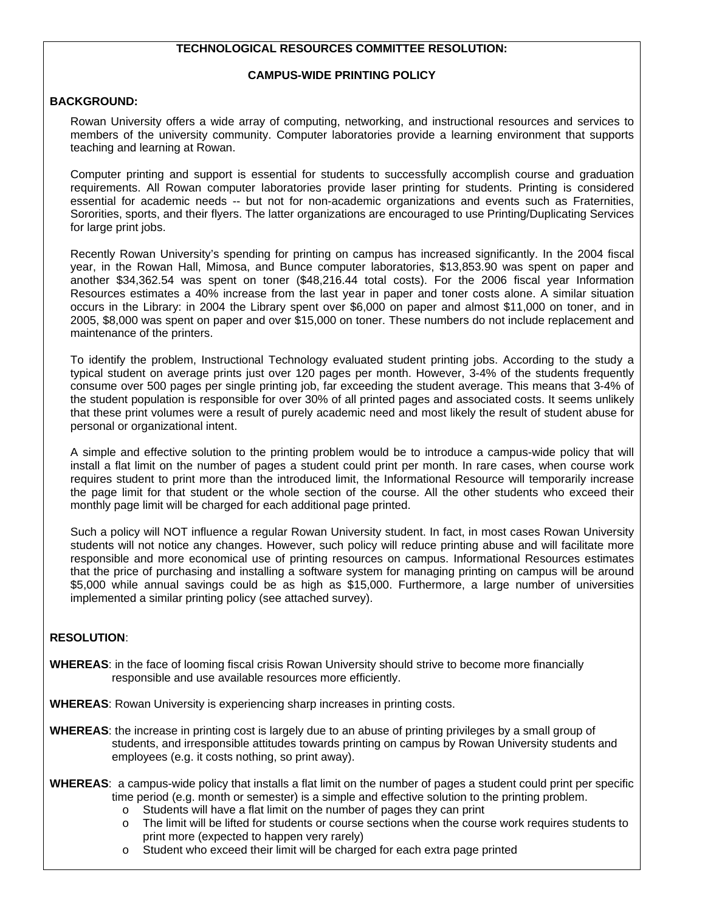### **TECHNOLOGICAL RESOURCES COMMITTEE RESOLUTION:**

### **CAMPUS-WIDE PRINTING POLICY**

### **BACKGROUND:**

Rowan University offers a wide array of computing, networking, and instructional resources and services to members of the university community. Computer laboratories provide a learning environment that supports teaching and learning at Rowan.

Computer printing and support is essential for students to successfully accomplish course and graduation requirements. All Rowan computer laboratories provide laser printing for students. Printing is considered essential for academic needs -- but not for non-academic organizations and events such as Fraternities, Sororities, sports, and their flyers. The latter organizations are encouraged to use Printing/Duplicating Services for large print jobs.

Recently Rowan University's spending for printing on campus has increased significantly. In the 2004 fiscal year, in the Rowan Hall, Mimosa, and Bunce computer laboratories, \$13,853.90 was spent on paper and another \$34,362.54 was spent on toner (\$48,216.44 total costs). For the 2006 fiscal year Information Resources estimates a 40% increase from the last year in paper and toner costs alone. A similar situation occurs in the Library: in 2004 the Library spent over \$6,000 on paper and almost \$11,000 on toner, and in 2005, \$8,000 was spent on paper and over \$15,000 on toner. These numbers do not include replacement and maintenance of the printers.

To identify the problem, Instructional Technology evaluated student printing jobs. According to the study a typical student on average prints just over 120 pages per month. However, 3-4% of the students frequently consume over 500 pages per single printing job, far exceeding the student average. This means that 3-4% of the student population is responsible for over 30% of all printed pages and associated costs. It seems unlikely that these print volumes were a result of purely academic need and most likely the result of student abuse for personal or organizational intent.

A simple and effective solution to the printing problem would be to introduce a campus-wide policy that will install a flat limit on the number of pages a student could print per month. In rare cases, when course work requires student to print more than the introduced limit, the Informational Resource will temporarily increase the page limit for that student or the whole section of the course. All the other students who exceed their monthly page limit will be charged for each additional page printed.

Such a policy will NOT influence a regular Rowan University student. In fact, in most cases Rowan University students will not notice any changes. However, such policy will reduce printing abuse and will facilitate more responsible and more economical use of printing resources on campus. Informational Resources estimates that the price of purchasing and installing a software system for managing printing on campus will be around \$5,000 while annual savings could be as high as \$15,000. Furthermore, a large number of universities implemented a similar printing policy (see attached survey).

### **RESOLUTION**:

**WHEREAS**: in the face of looming fiscal crisis Rowan University should strive to become more financially responsible and use available resources more efficiently.

**WHEREAS**: Rowan University is experiencing sharp increases in printing costs.

- **WHEREAS**: the increase in printing cost is largely due to an abuse of printing privileges by a small group of students, and irresponsible attitudes towards printing on campus by Rowan University students and employees (e.g. it costs nothing, so print away).
- **WHEREAS**: a campus-wide policy that installs a flat limit on the number of pages a student could print per specific time period (e.g. month or semester) is a simple and effective solution to the printing problem.
	- o Students will have a flat limit on the number of pages they can print
	- o The limit will be lifted for students or course sections when the course work requires students to print more (expected to happen very rarely)
	- o Student who exceed their limit will be charged for each extra page printed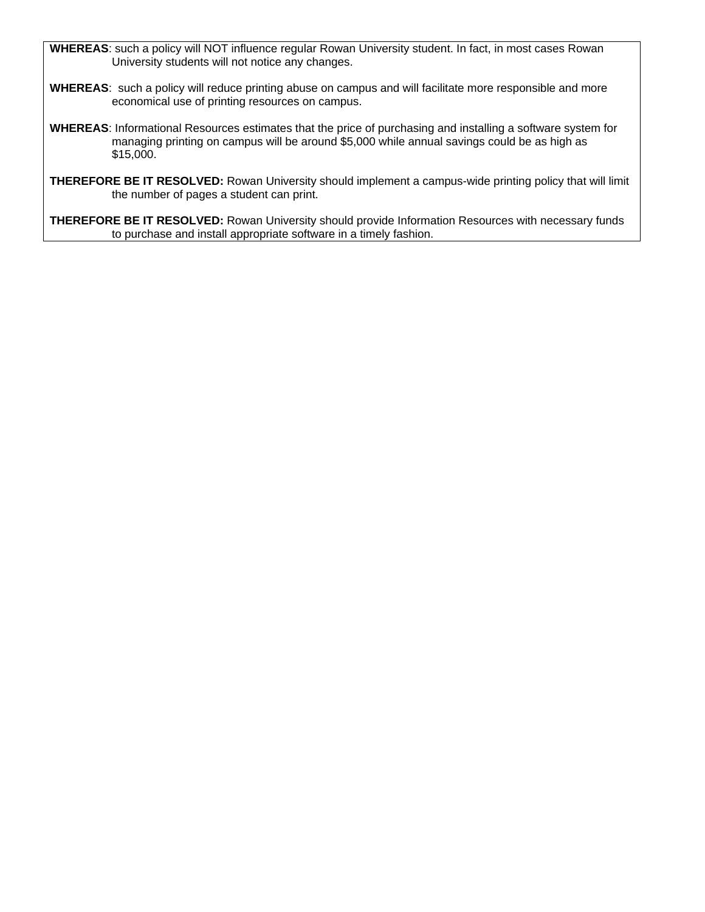**WHEREAS**: such a policy will NOT influence regular Rowan University student. In fact, in most cases Rowan University students will not notice any changes.

- **WHEREAS**: such a policy will reduce printing abuse on campus and will facilitate more responsible and more economical use of printing resources on campus.
- **WHEREAS**: Informational Resources estimates that the price of purchasing and installing a software system for managing printing on campus will be around \$5,000 while annual savings could be as high as \$15,000.
- **THEREFORE BE IT RESOLVED:** Rowan University should implement a campus-wide printing policy that will limit the number of pages a student can print.

**THEREFORE BE IT RESOLVED:** Rowan University should provide Information Resources with necessary funds to purchase and install appropriate software in a timely fashion.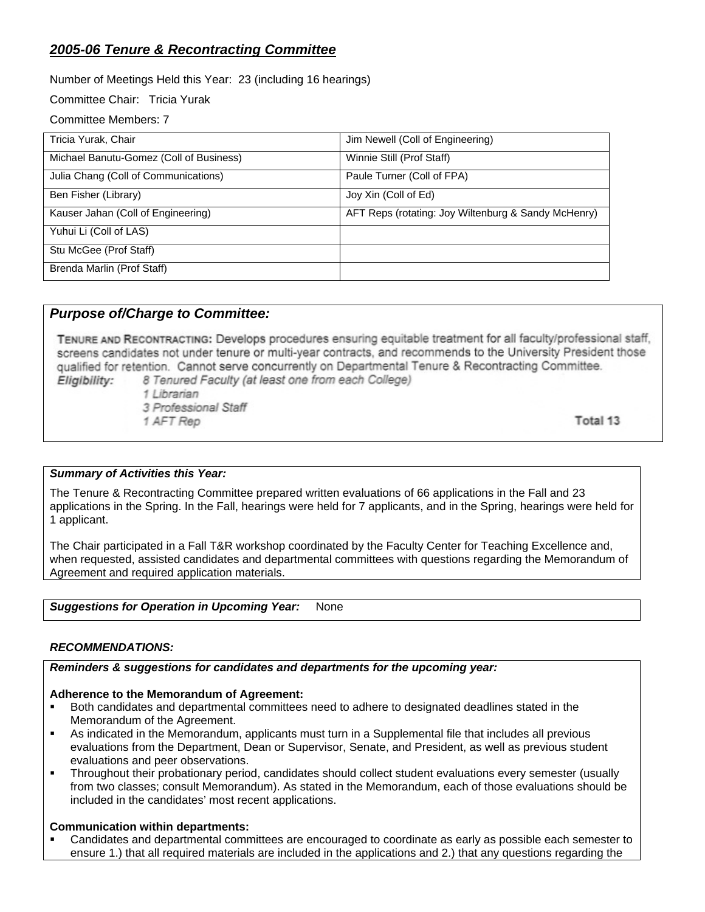# *2005-06 Tenure & Recontracting Committee*

Number of Meetings Held this Year: 23 (including 16 hearings)

Committee Chair: Tricia Yurak

Committee Members: 7

| Tricia Yurak, Chair                     | Jim Newell (Coll of Engineering)                    |
|-----------------------------------------|-----------------------------------------------------|
| Michael Banutu-Gomez (Coll of Business) | Winnie Still (Prof Staff)                           |
| Julia Chang (Coll of Communications)    | Paule Turner (Coll of FPA)                          |
| Ben Fisher (Library)                    | Joy Xin (Coll of Ed)                                |
| Kauser Jahan (Coll of Engineering)      | AFT Reps (rotating: Joy Wiltenburg & Sandy McHenry) |
| Yuhui Li (Coll of LAS)                  |                                                     |
| Stu McGee (Prof Staff)                  |                                                     |
| Brenda Marlin (Prof Staff)              |                                                     |

## *Purpose of/Charge to Committee:*

TENURE AND RECONTRACTING: Develops procedures ensuring equitable treatment for all faculty/professional staff, screens candidates not under tenure or multi-year contracts, and recommends to the University President those qualified for retention. Cannot serve concurrently on Departmental Tenure & Recontracting Committee. 8 Tenured Faculty (at least one from each College) Eligibility:

1 Librarian

3 Professional Staff

1 AFT Rep

Total 13

## *Summary of Activities this Year:*

The Tenure & Recontracting Committee prepared written evaluations of 66 applications in the Fall and 23 applications in the Spring. In the Fall, hearings were held for 7 applicants, and in the Spring, hearings were held for 1 applicant.

The Chair participated in a Fall T&R workshop coordinated by the Faculty Center for Teaching Excellence and, when requested, assisted candidates and departmental committees with questions regarding the Memorandum of Agreement and required application materials.

### **Suggestions for Operation in Upcoming Year:** None

## *RECOMMENDATIONS:*

*Reminders & suggestions for candidates and departments for the upcoming year:* 

## **Adherence to the Memorandum of Agreement:**

- Both candidates and departmental committees need to adhere to designated deadlines stated in the Memorandum of the Agreement.
- As indicated in the Memorandum, applicants must turn in a Supplemental file that includes all previous evaluations from the Department, Dean or Supervisor, Senate, and President, as well as previous student evaluations and peer observations.
- Throughout their probationary period, candidates should collect student evaluations every semester (usually from two classes; consult Memorandum). As stated in the Memorandum, each of those evaluations should be included in the candidates' most recent applications.

## **Communication within departments:**

 Candidates and departmental committees are encouraged to coordinate as early as possible each semester to ensure 1.) that all required materials are included in the applications and 2.) that any questions regarding the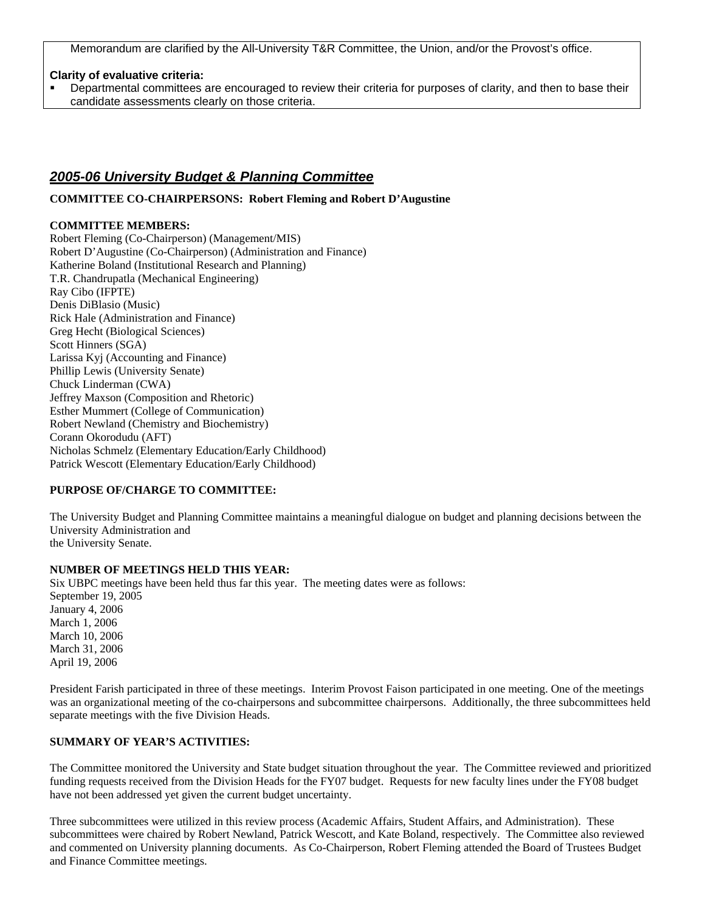Memorandum are clarified by the All-University T&R Committee, the Union, and/or the Provost's office.

#### **Clarity of evaluative criteria:**

 Departmental committees are encouraged to review their criteria for purposes of clarity, and then to base their candidate assessments clearly on those criteria.

## *2005-06 University Budget & Planning Committee*

**COMMITTEE CO-CHAIRPERSONS: Robert Fleming and Robert D'Augustine** 

### **COMMITTEE MEMBERS:**

Robert Fleming (Co-Chairperson) (Management/MIS) Robert D'Augustine (Co-Chairperson) (Administration and Finance) Katherine Boland (Institutional Research and Planning) T.R. Chandrupatla (Mechanical Engineering) Ray Cibo (IFPTE) Denis DiBlasio (Music) Rick Hale (Administration and Finance) Greg Hecht (Biological Sciences) Scott Hinners (SGA) Larissa Kyj (Accounting and Finance) Phillip Lewis (University Senate) Chuck Linderman (CWA) Jeffrey Maxson (Composition and Rhetoric) Esther Mummert (College of Communication) Robert Newland (Chemistry and Biochemistry) Corann Okorodudu (AFT) Nicholas Schmelz (Elementary Education/Early Childhood) Patrick Wescott (Elementary Education/Early Childhood)

### **PURPOSE OF/CHARGE TO COMMITTEE:**

The University Budget and Planning Committee maintains a meaningful dialogue on budget and planning decisions between the University Administration and the University Senate.

### **NUMBER OF MEETINGS HELD THIS YEAR:**

Six UBPC meetings have been held thus far this year. The meeting dates were as follows: September 19, 2005 January 4, 2006 March 1, 2006 March 10, 2006 March 31, 2006 April 19, 2006

President Farish participated in three of these meetings. Interim Provost Faison participated in one meeting. One of the meetings was an organizational meeting of the co-chairpersons and subcommittee chairpersons. Additionally, the three subcommittees held separate meetings with the five Division Heads.

#### **SUMMARY OF YEAR'S ACTIVITIES:**

The Committee monitored the University and State budget situation throughout the year. The Committee reviewed and prioritized funding requests received from the Division Heads for the FY07 budget. Requests for new faculty lines under the FY08 budget have not been addressed yet given the current budget uncertainty.

Three subcommittees were utilized in this review process (Academic Affairs, Student Affairs, and Administration). These subcommittees were chaired by Robert Newland, Patrick Wescott, and Kate Boland, respectively. The Committee also reviewed and commented on University planning documents. As Co-Chairperson, Robert Fleming attended the Board of Trustees Budget and Finance Committee meetings.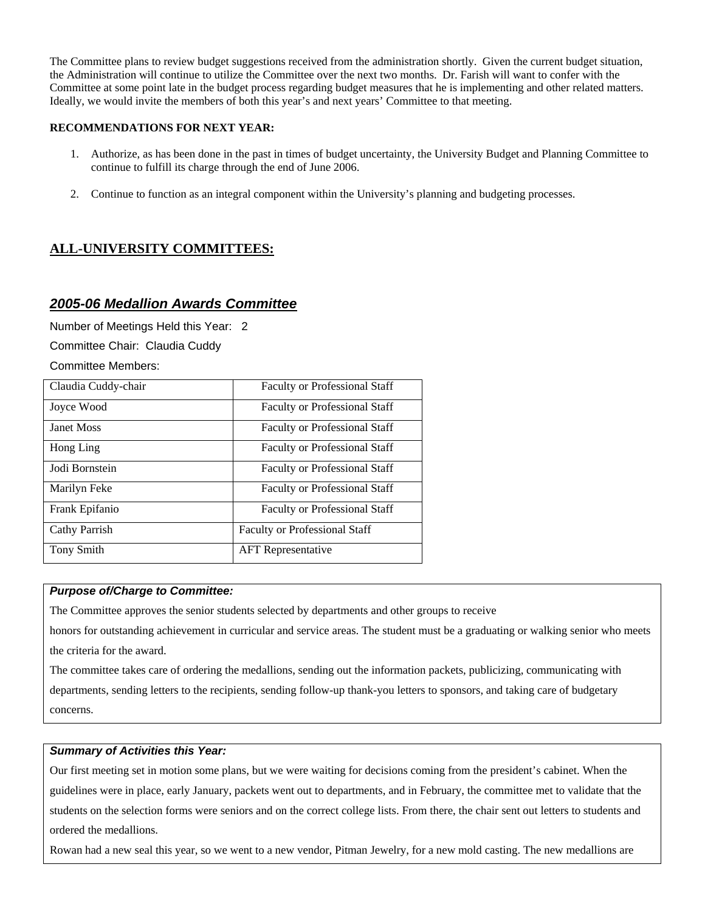The Committee plans to review budget suggestions received from the administration shortly. Given the current budget situation, the Administration will continue to utilize the Committee over the next two months. Dr. Farish will want to confer with the Committee at some point late in the budget process regarding budget measures that he is implementing and other related matters. Ideally, we would invite the members of both this year's and next years' Committee to that meeting.

### **RECOMMENDATIONS FOR NEXT YEAR:**

- 1. Authorize, as has been done in the past in times of budget uncertainty, the University Budget and Planning Committee to continue to fulfill its charge through the end of June 2006.
- 2. Continue to function as an integral component within the University's planning and budgeting processes.

# **ALL-UNIVERSITY COMMITTEES:**

## *2005-06 Medallion Awards Committee*

Number of Meetings Held this Year: 2

Committee Chair: Claudia Cuddy

Committee Members:

| Claudia Cuddy-chair | <b>Faculty or Professional Staff</b> |
|---------------------|--------------------------------------|
| Joyce Wood          | <b>Faculty or Professional Staff</b> |
| <b>Janet Moss</b>   | <b>Faculty or Professional Staff</b> |
| Hong Ling           | <b>Faculty or Professional Staff</b> |
| Jodi Bornstein      | <b>Faculty or Professional Staff</b> |
| Marilyn Feke        | <b>Faculty or Professional Staff</b> |
| Frank Epifanio      | <b>Faculty or Professional Staff</b> |
| Cathy Parrish       | <b>Faculty or Professional Staff</b> |
| <b>Tony Smith</b>   | <b>AFT</b> Representative            |

### *Purpose of/Charge to Committee:*

The Committee approves the senior students selected by departments and other groups to receive

honors for outstanding achievement in curricular and service areas. The student must be a graduating or walking senior who meets the criteria for the award.

The committee takes care of ordering the medallions, sending out the information packets, publicizing, communicating with departments, sending letters to the recipients, sending follow-up thank-you letters to sponsors, and taking care of budgetary concerns.

### *Summary of Activities this Year:*

Our first meeting set in motion some plans, but we were waiting for decisions coming from the president's cabinet. When the guidelines were in place, early January, packets went out to departments, and in February, the committee met to validate that the students on the selection forms were seniors and on the correct college lists. From there, the chair sent out letters to students and ordered the medallions.

Rowan had a new seal this year, so we went to a new vendor, Pitman Jewelry, for a new mold casting. The new medallions are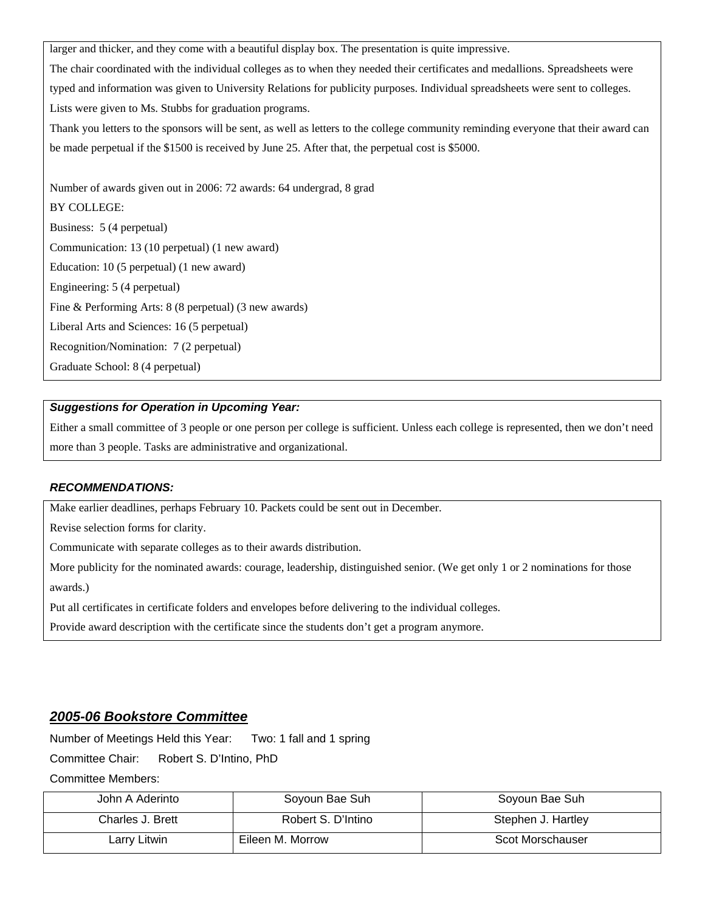larger and thicker, and they come with a beautiful display box. The presentation is quite impressive.

The chair coordinated with the individual colleges as to when they needed their certificates and medallions. Spreadsheets were typed and information was given to University Relations for publicity purposes. Individual spreadsheets were sent to colleges. Lists were given to Ms. Stubbs for graduation programs.

Thank you letters to the sponsors will be sent, as well as letters to the college community reminding everyone that their award can be made perpetual if the \$1500 is received by June 25. After that, the perpetual cost is \$5000.

Number of awards given out in 2006: 72 awards: 64 undergrad, 8 grad BY COLLEGE: Business: 5 (4 perpetual) Communication: 13 (10 perpetual) (1 new award) Education: 10 (5 perpetual) (1 new award) Engineering: 5 (4 perpetual) Fine & Performing Arts: 8 (8 perpetual) (3 new awards) Liberal Arts and Sciences: 16 (5 perpetual) Recognition/Nomination: 7 (2 perpetual) Graduate School: 8 (4 perpetual)

### *Suggestions for Operation in Upcoming Year:*

Either a small committee of 3 people or one person per college is sufficient. Unless each college is represented, then we don't need more than 3 people. Tasks are administrative and organizational.

## *RECOMMENDATIONS:*

Make earlier deadlines, perhaps February 10. Packets could be sent out in December.

Revise selection forms for clarity.

Communicate with separate colleges as to their awards distribution.

More publicity for the nominated awards: courage, leadership, distinguished senior. (We get only 1 or 2 nominations for those awards.)

Put all certificates in certificate folders and envelopes before delivering to the individual colleges.

Provide award description with the certificate since the students don't get a program anymore.

## *2005-06 Bookstore Committee*

Number of Meetings Held this Year: Two: 1 fall and 1 spring

Committee Chair: Robert S. D'Intino, PhD

Committee Members:

| John A Aderinto  | Soyoun Bae Suh     | Soyoun Bae Suh     |
|------------------|--------------------|--------------------|
| Charles J. Brett | Robert S. D'Intino | Stephen J. Hartley |
| Larry Litwin     | Eileen M. Morrow   | Scot Morschauser   |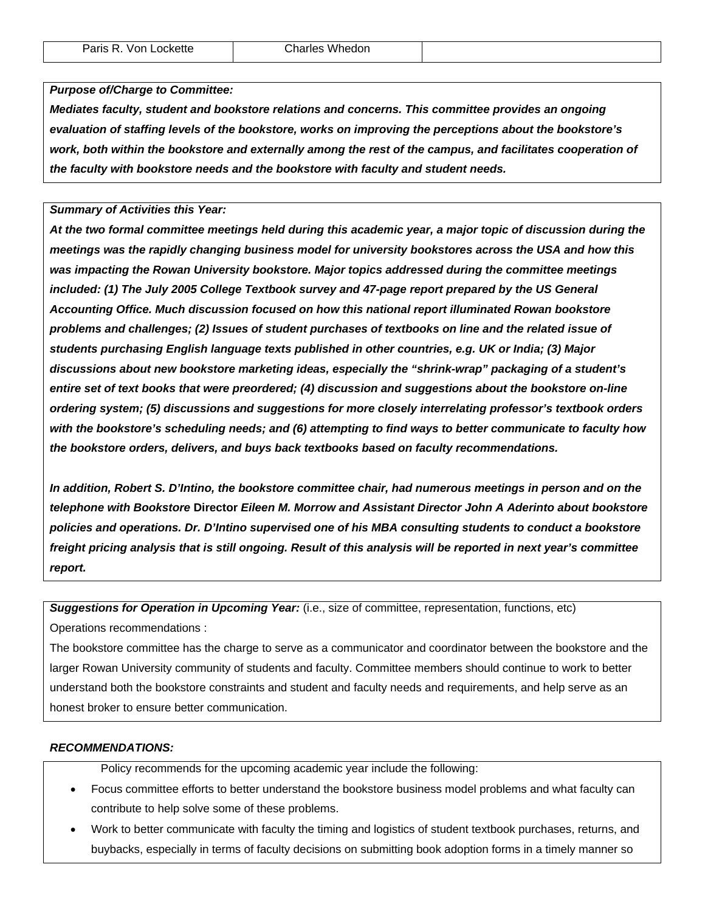#### *Purpose of/Charge to Committee:*

*Mediates faculty, student and bookstore relations and concerns. This committee provides an ongoing evaluation of staffing levels of the bookstore, works on improving the perceptions about the bookstore's work, both within the bookstore and externally among the rest of the campus, and facilitates cooperation of the faculty with bookstore needs and the bookstore with faculty and student needs.* 

*Summary of Activities this Year:* 

*At the two formal committee meetings held during this academic year, a major topic of discussion during the meetings was the rapidly changing business model for university bookstores across the USA and how this was impacting the Rowan University bookstore. Major topics addressed during the committee meetings included: (1) The July 2005 College Textbook survey and 47-page report prepared by the US General Accounting Office. Much discussion focused on how this national report illuminated Rowan bookstore problems and challenges; (2) Issues of student purchases of textbooks on line and the related issue of students purchasing English language texts published in other countries, e.g. UK or India; (3) Major discussions about new bookstore marketing ideas, especially the "shrink-wrap" packaging of a student's entire set of text books that were preordered; (4) discussion and suggestions about the bookstore on-line ordering system; (5) discussions and suggestions for more closely interrelating professor's textbook orders with the bookstore's scheduling needs; and (6) attempting to find ways to better communicate to faculty how the bookstore orders, delivers, and buys back textbooks based on faculty recommendations.* 

*In addition, Robert S. D'Intino, the bookstore committee chair, had numerous meetings in person and on the telephone with Bookstore* **Director** *Eileen M. Morrow and Assistant Director John A Aderinto about bookstore policies and operations. Dr. D'Intino supervised one of his MBA consulting students to conduct a bookstore freight pricing analysis that is still ongoing. Result of this analysis will be reported in next year's committee report.* 

*Suggestions for Operation in Upcoming Year:* (i.e., size of committee, representation, functions, etc)

Operations recommendations :

The bookstore committee has the charge to serve as a communicator and coordinator between the bookstore and the larger Rowan University community of students and faculty. Committee members should continue to work to better understand both the bookstore constraints and student and faculty needs and requirements, and help serve as an honest broker to ensure better communication.

### *RECOMMENDATIONS:*

Policy recommends for the upcoming academic year include the following:

- Focus committee efforts to better understand the bookstore business model problems and what faculty can contribute to help solve some of these problems.
- Work to better communicate with faculty the timing and logistics of student textbook purchases, returns, and buybacks, especially in terms of faculty decisions on submitting book adoption forms in a timely manner so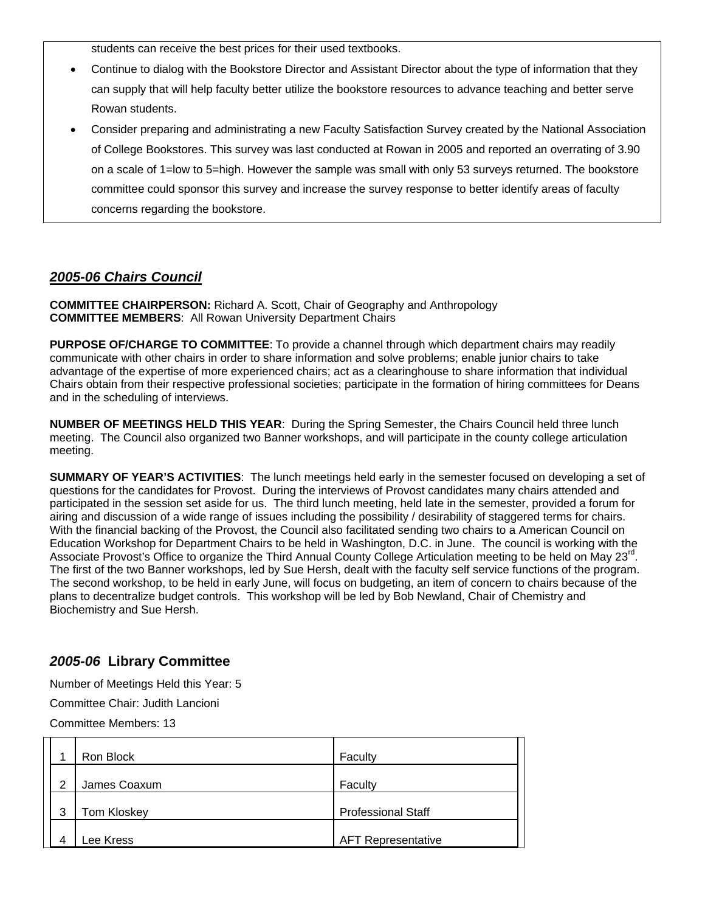students can receive the best prices for their used textbooks.

- Continue to dialog with the Bookstore Director and Assistant Director about the type of information that they can supply that will help faculty better utilize the bookstore resources to advance teaching and better serve Rowan students.
- Consider preparing and administrating a new Faculty Satisfaction Survey created by the National Association of College Bookstores. This survey was last conducted at Rowan in 2005 and reported an overrating of 3.90 on a scale of 1=low to 5=high. However the sample was small with only 53 surveys returned. The bookstore committee could sponsor this survey and increase the survey response to better identify areas of faculty concerns regarding the bookstore.

# *2005-06 Chairs Council*

**COMMITTEE CHAIRPERSON:** Richard A. Scott, Chair of Geography and Anthropology **COMMITTEE MEMBERS**: All Rowan University Department Chairs

**PURPOSE OF/CHARGE TO COMMITTEE**: To provide a channel through which department chairs may readily communicate with other chairs in order to share information and solve problems; enable junior chairs to take advantage of the expertise of more experienced chairs; act as a clearinghouse to share information that individual Chairs obtain from their respective professional societies; participate in the formation of hiring committees for Deans and in the scheduling of interviews.

**NUMBER OF MEETINGS HELD THIS YEAR**: During the Spring Semester, the Chairs Council held three lunch meeting. The Council also organized two Banner workshops, and will participate in the county college articulation meeting.

**SUMMARY OF YEAR'S ACTIVITIES**: The lunch meetings held early in the semester focused on developing a set of questions for the candidates for Provost. During the interviews of Provost candidates many chairs attended and participated in the session set aside for us. The third lunch meeting, held late in the semester, provided a forum for airing and discussion of a wide range of issues including the possibility / desirability of staggered terms for chairs. With the financial backing of the Provost, the Council also facilitated sending two chairs to a American Council on Education Workshop for Department Chairs to be held in Washington, D.C. in June. The council is working with the Associate Provost's Office to organize the Third Annual County College Articulation meeting to be held on May 23<sup>rd</sup>. The first of the two Banner workshops, led by Sue Hersh, dealt with the faculty self service functions of the program. The second workshop, to be held in early June, will focus on budgeting, an item of concern to chairs because of the plans to decentralize budget controls. This workshop will be led by Bob Newland, Chair of Chemistry and Biochemistry and Sue Hersh.

# *2005-06* **Library Committee**

Number of Meetings Held this Year: 5

Committee Chair: Judith Lancioni

Committee Members: 13

|   | Ron Block          | Faculty                   |
|---|--------------------|---------------------------|
| っ | James Coaxum       | Faculty                   |
| 3 | <b>Tom Kloskey</b> | <b>Professional Staff</b> |
| Δ | ee Kress           | <b>AFT Representative</b> |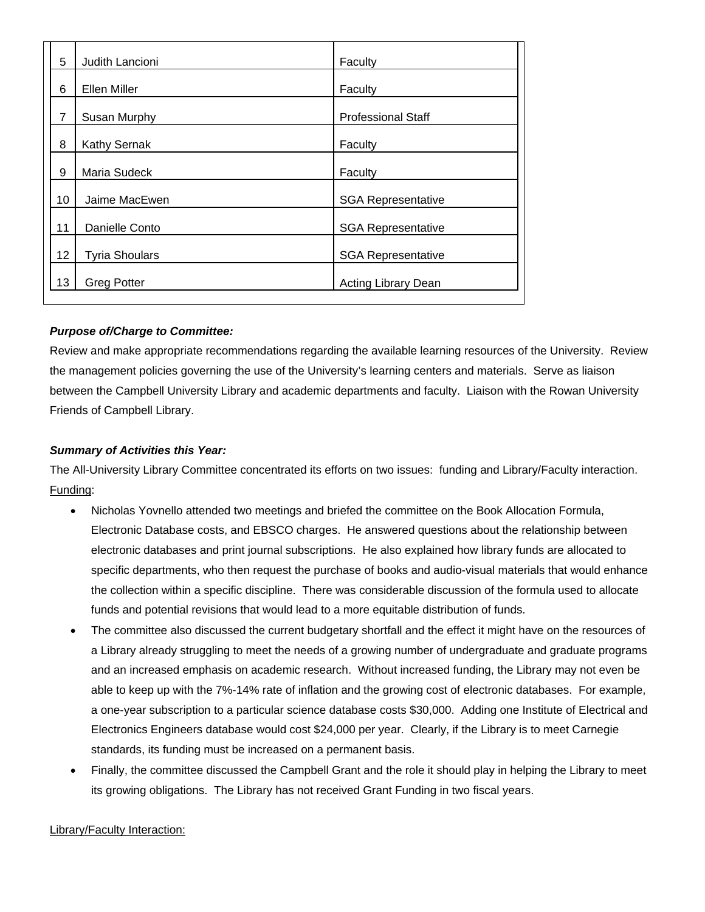| 5                 | Judith Lancioni       | Faculty                    |
|-------------------|-----------------------|----------------------------|
| 6                 | Ellen Miller          | Faculty                    |
| 7                 | Susan Murphy          | <b>Professional Staff</b>  |
| 8                 | <b>Kathy Sernak</b>   | Faculty                    |
| 9                 | Maria Sudeck          | Faculty                    |
| 10                | Jaime MacEwen         | <b>SGA Representative</b>  |
| 11                | Danielle Conto        | <b>SGA Representative</b>  |
| $12 \overline{ }$ | <b>Tyria Shoulars</b> | <b>SGA Representative</b>  |
| 13                | <b>Greg Potter</b>    | <b>Acting Library Dean</b> |

## *Purpose of/Charge to Committee:*

Review and make appropriate recommendations regarding the available learning resources of the University. Review the management policies governing the use of the University's learning centers and materials. Serve as liaison between the Campbell University Library and academic departments and faculty. Liaison with the Rowan University Friends of Campbell Library.

## *Summary of Activities this Year:*

The All-University Library Committee concentrated its efforts on two issues: funding and Library/Faculty interaction. Funding:

- Nicholas Yovnello attended two meetings and briefed the committee on the Book Allocation Formula, Electronic Database costs, and EBSCO charges. He answered questions about the relationship between electronic databases and print journal subscriptions. He also explained how library funds are allocated to specific departments, who then request the purchase of books and audio-visual materials that would enhance the collection within a specific discipline. There was considerable discussion of the formula used to allocate funds and potential revisions that would lead to a more equitable distribution of funds.
- The committee also discussed the current budgetary shortfall and the effect it might have on the resources of a Library already struggling to meet the needs of a growing number of undergraduate and graduate programs and an increased emphasis on academic research. Without increased funding, the Library may not even be able to keep up with the 7%-14% rate of inflation and the growing cost of electronic databases. For example, a one-year subscription to a particular science database costs \$30,000. Adding one Institute of Electrical and Electronics Engineers database would cost \$24,000 per year. Clearly, if the Library is to meet Carnegie standards, its funding must be increased on a permanent basis.
- Finally, the committee discussed the Campbell Grant and the role it should play in helping the Library to meet its growing obligations. The Library has not received Grant Funding in two fiscal years.

## Library/Faculty Interaction: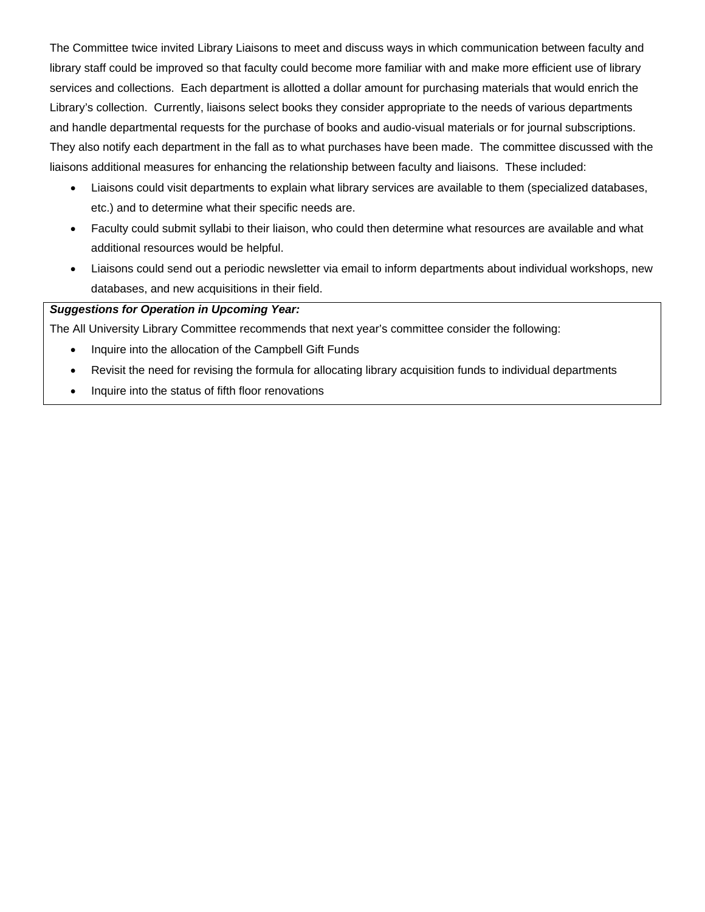The Committee twice invited Library Liaisons to meet and discuss ways in which communication between faculty and library staff could be improved so that faculty could become more familiar with and make more efficient use of library services and collections. Each department is allotted a dollar amount for purchasing materials that would enrich the Library's collection. Currently, liaisons select books they consider appropriate to the needs of various departments and handle departmental requests for the purchase of books and audio-visual materials or for journal subscriptions. They also notify each department in the fall as to what purchases have been made. The committee discussed with the liaisons additional measures for enhancing the relationship between faculty and liaisons. These included:

- Liaisons could visit departments to explain what library services are available to them (specialized databases, etc.) and to determine what their specific needs are.
- Faculty could submit syllabi to their liaison, who could then determine what resources are available and what additional resources would be helpful.
- Liaisons could send out a periodic newsletter via email to inform departments about individual workshops, new databases, and new acquisitions in their field.

## *Suggestions for Operation in Upcoming Year:*

The All University Library Committee recommends that next year's committee consider the following:

- Inquire into the allocation of the Campbell Gift Funds
- Revisit the need for revising the formula for allocating library acquisition funds to individual departments
- Inquire into the status of fifth floor renovations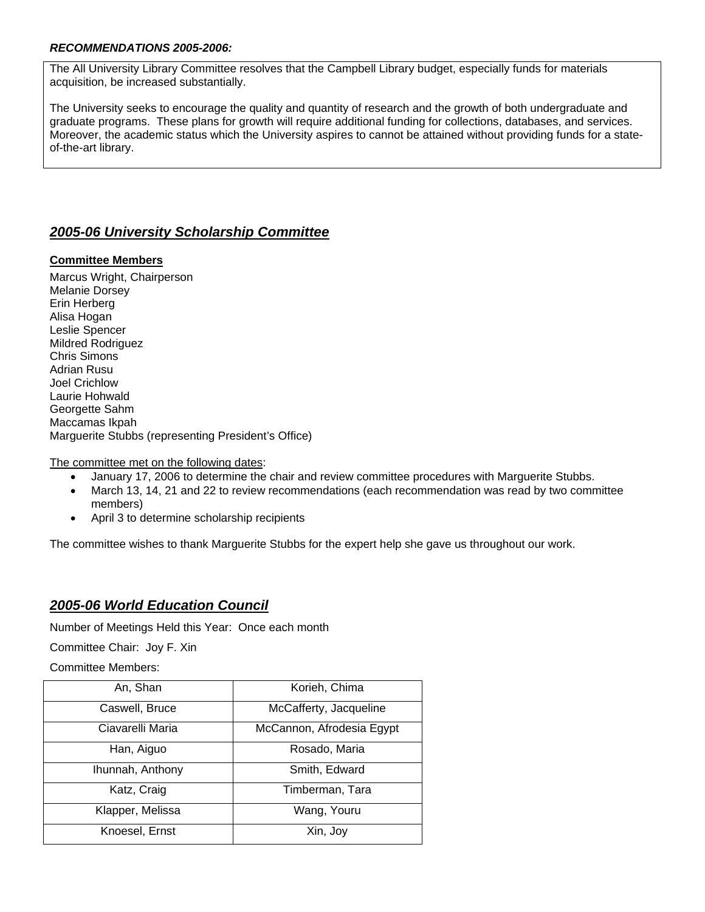### *RECOMMENDATIONS 2005-2006:*

The All University Library Committee resolves that the Campbell Library budget, especially funds for materials acquisition, be increased substantially.

The University seeks to encourage the quality and quantity of research and the growth of both undergraduate and graduate programs. These plans for growth will require additional funding for collections, databases, and services. Moreover, the academic status which the University aspires to cannot be attained without providing funds for a stateof-the-art library.

# *2005-06 University Scholarship Committee*

## **Committee Members**

Marcus Wright, Chairperson Melanie Dorsey Erin Herberg Alisa Hogan Leslie Spencer Mildred Rodriguez Chris Simons Adrian Rusu Joel Crichlow Laurie Hohwald Georgette Sahm Maccamas Ikpah Marguerite Stubbs (representing President's Office)

The committee met on the following dates:

- January 17, 2006 to determine the chair and review committee procedures with Marguerite Stubbs.
- March 13, 14, 21 and 22 to review recommendations (each recommendation was read by two committee members)
- April 3 to determine scholarship recipients

The committee wishes to thank Marguerite Stubbs for the expert help she gave us throughout our work.

# *2005-06 World Education Council*

Number of Meetings Held this Year: Once each month

Committee Chair: Joy F. Xin

Committee Members:

| An, Shan         | Korieh, Chima             |
|------------------|---------------------------|
| Caswell, Bruce   | McCafferty, Jacqueline    |
| Ciavarelli Maria | McCannon, Afrodesia Egypt |
| Han, Aiguo       | Rosado, Maria             |
| Ihunnah, Anthony | Smith, Edward             |
| Katz, Craig      | Timberman, Tara           |
| Klapper, Melissa | Wang, Youru               |
| Knoesel, Ernst   | Xin, Joy                  |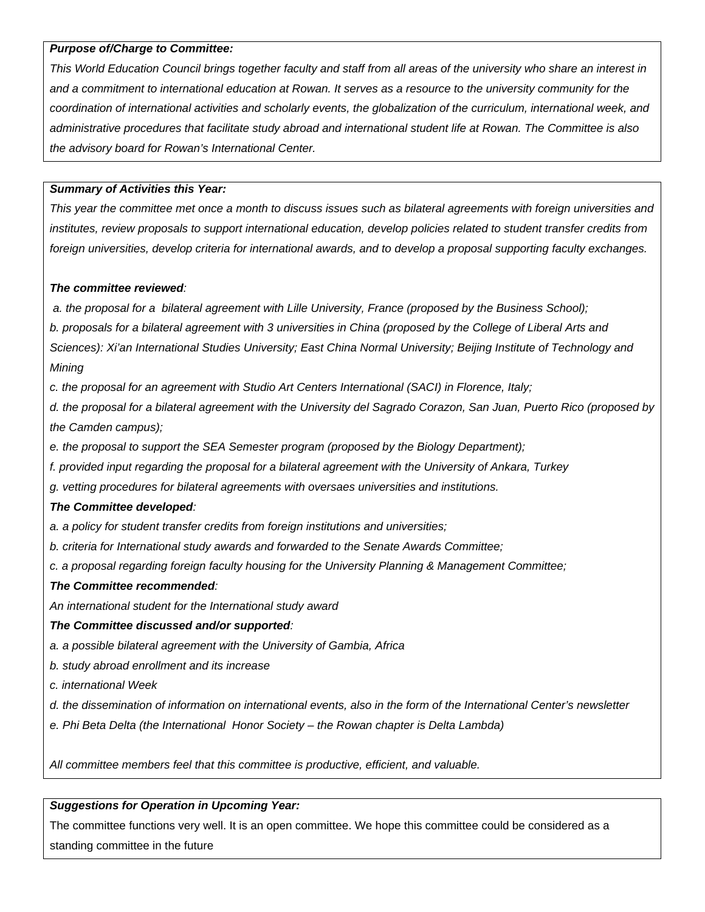### *Purpose of/Charge to Committee:*

*This World Education Council brings together faculty and staff from all areas of the university who share an interest in and a commitment to international education at Rowan. It serves as a resource to the university community for the coordination of international activities and scholarly events, the globalization of the curriculum, international week, and administrative procedures that facilitate study abroad and international student life at Rowan. The Committee is also the advisory board for Rowan's International Center.* 

### *Summary of Activities this Year:*

*This year the committee met once a month to discuss issues such as bilateral agreements with foreign universities and institutes, review proposals to support international education, develop policies related to student transfer credits from foreign universities, develop criteria for international awards, and to develop a proposal supporting faculty exchanges.* 

#### *The committee reviewed:*

 *a. the proposal for a bilateral agreement with Lille University, France (proposed by the Business School); b. proposals for a bilateral agreement with 3 universities in China (proposed by the College of Liberal Arts and Sciences): Xi'an International Studies University; East China Normal University; Beijing Institute of Technology and Mining* 

*c. the proposal for an agreement with Studio Art Centers International (SACI) in Florence, Italy;* 

*d. the proposal for a bilateral agreement with the University del Sagrado Corazon, San Juan, Puerto Rico (proposed by the Camden campus);* 

- *e. the proposal to support the SEA Semester program (proposed by the Biology Department);*
- *f. provided input regarding the proposal for a bilateral agreement with the University of Ankara, Turkey*
- *g. vetting procedures for bilateral agreements with oversaes universities and institutions.*

#### *The Committee developed:*

*a. a policy for student transfer credits from foreign institutions and universities;* 

- *b. criteria for International study awards and forwarded to the Senate Awards Committee;*
- *c. a proposal regarding foreign faculty housing for the University Planning & Management Committee;*

#### *The Committee recommended:*

*An international student for the International study award* 

#### *The Committee discussed and/or supported:*

- *a. a possible bilateral agreement with the University of Gambia, Africa*
- *b. study abroad enrollment and its increase*

*c. international Week* 

- *d. the dissemination of information on international events, also in the form of the International Center's newsletter*
- *e. Phi Beta Delta (the International Honor Society the Rowan chapter is Delta Lambda)*

*All committee members feel that this committee is productive, efficient, and valuable.* 

### *Suggestions for Operation in Upcoming Year:*

The committee functions very well. It is an open committee. We hope this committee could be considered as a standing committee in the future